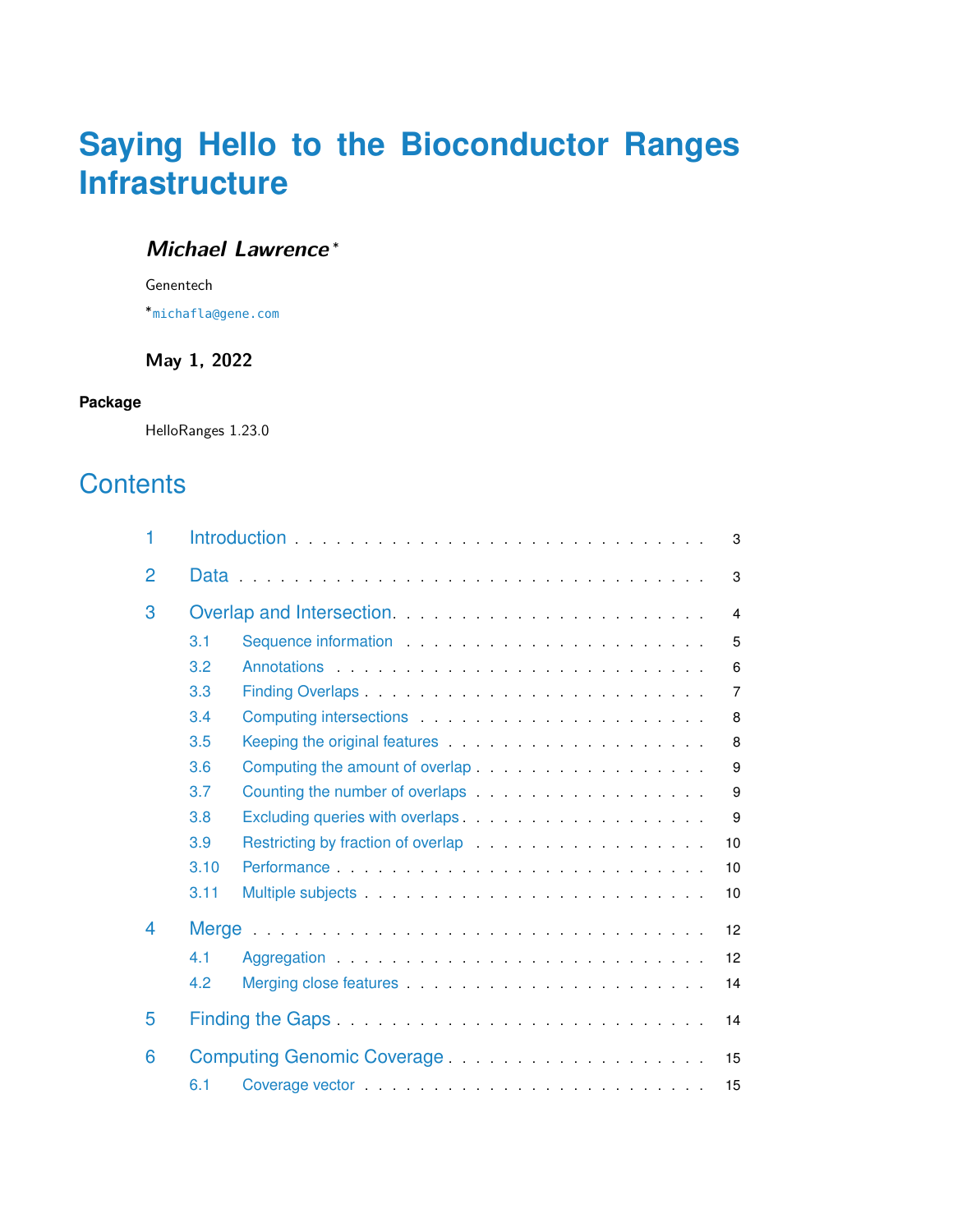# **Saying Hello to the Bioconductor Ranges Infrastructure**

#### **Michael Lawrence** <sup>∗</sup>

Genentech

∗ [michafla@gene.com](mailto:michafla@gene.com)

#### **May 1, 2022**

#### **Package**

HelloRanges 1.23.0

## **Contents**

| 1 |      |                                                                                                                                                                                                                                | 3              |
|---|------|--------------------------------------------------------------------------------------------------------------------------------------------------------------------------------------------------------------------------------|----------------|
| 2 |      |                                                                                                                                                                                                                                | 3              |
| 3 |      |                                                                                                                                                                                                                                | $\overline{4}$ |
|   | 3.1  |                                                                                                                                                                                                                                | 5              |
|   | 3.2  |                                                                                                                                                                                                                                | 6              |
|   | 3.3  |                                                                                                                                                                                                                                | $\overline{7}$ |
|   | 3.4  |                                                                                                                                                                                                                                | 8              |
|   | 3.5  | Keeping the original features entitled and the set of the set of the set of the set of the set of the set of the set of the set of the set of the set of the set of the set of the set of the set of the set of the set of the | 8              |
|   | 3.6  |                                                                                                                                                                                                                                | 9              |
|   | 3.7  | Counting the number of overlaps expansion of the set of the set of the set of the set of the set of the set of the set of the set of the set of the set of the set of the set of the set of the set of the set of the set of t | 9              |
|   | 3.8  |                                                                                                                                                                                                                                | 9              |
|   | 3.9  |                                                                                                                                                                                                                                | 10             |
|   | 3.10 |                                                                                                                                                                                                                                | 10             |
|   | 3.11 |                                                                                                                                                                                                                                | 10             |
| 4 |      |                                                                                                                                                                                                                                | 12             |
|   | 4.1  |                                                                                                                                                                                                                                | 12             |
|   | 4.2  |                                                                                                                                                                                                                                | 14             |
| 5 |      |                                                                                                                                                                                                                                | 14             |
| 6 |      | Computing Genomic Coverage                                                                                                                                                                                                     | 15             |
|   | 6.1  |                                                                                                                                                                                                                                | 15             |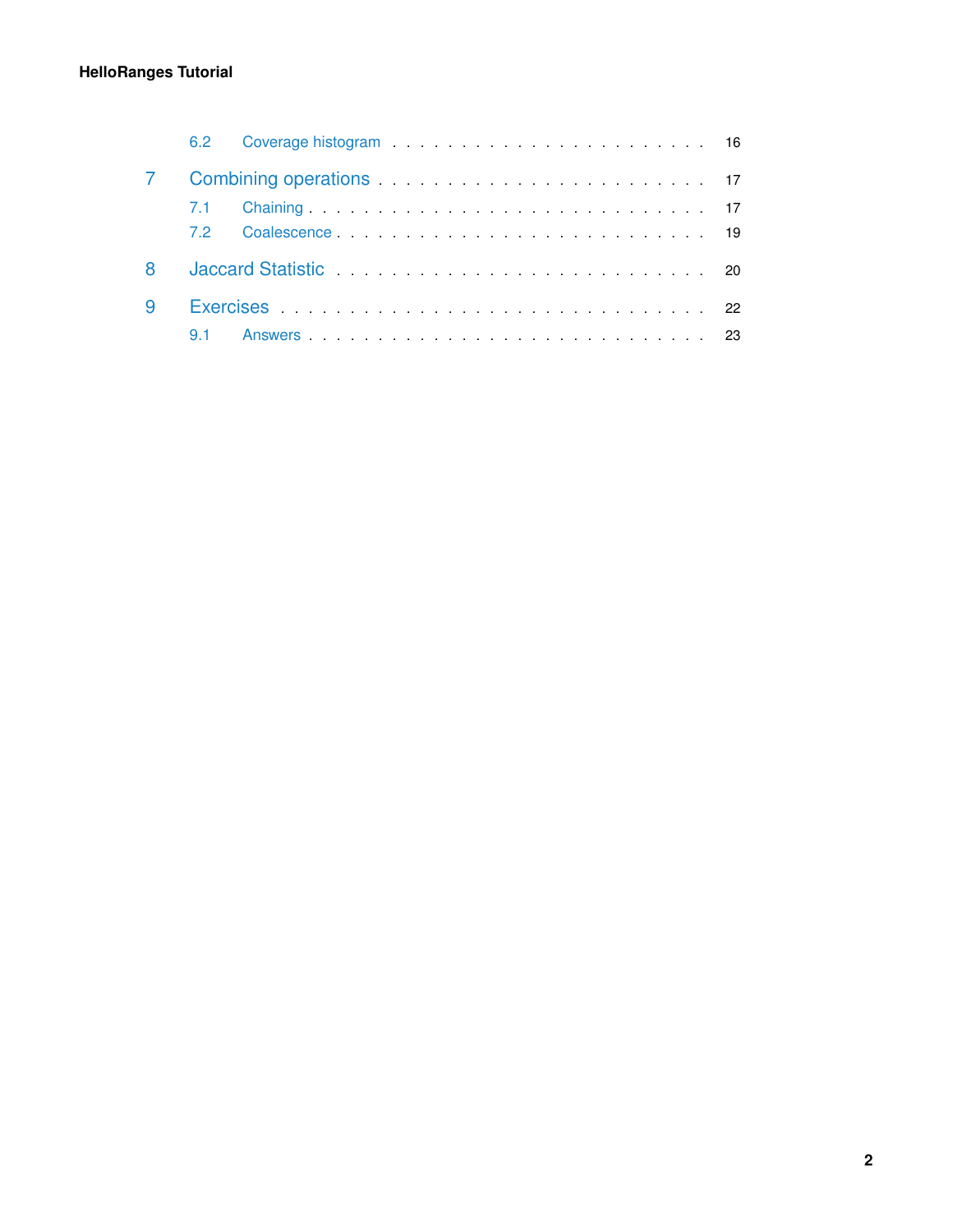#### **HelloRanges Tutorial**

| 6.2     |                                                                                                                                                                                                                                |  |  |  |  |  |
|---------|--------------------------------------------------------------------------------------------------------------------------------------------------------------------------------------------------------------------------------|--|--|--|--|--|
|         |                                                                                                                                                                                                                                |  |  |  |  |  |
| $7.1 -$ |                                                                                                                                                                                                                                |  |  |  |  |  |
| 72      |                                                                                                                                                                                                                                |  |  |  |  |  |
|         | Jaccard Statistic Material According to the Contract of the Statistic According to the U.S. of the U.S. of the U.S. of the U.S. of the U.S. of the U.S. of the U.S. of the U.S. of the U.S. of the U.S. of the U.S. of the U.S |  |  |  |  |  |
|         |                                                                                                                                                                                                                                |  |  |  |  |  |
|         |                                                                                                                                                                                                                                |  |  |  |  |  |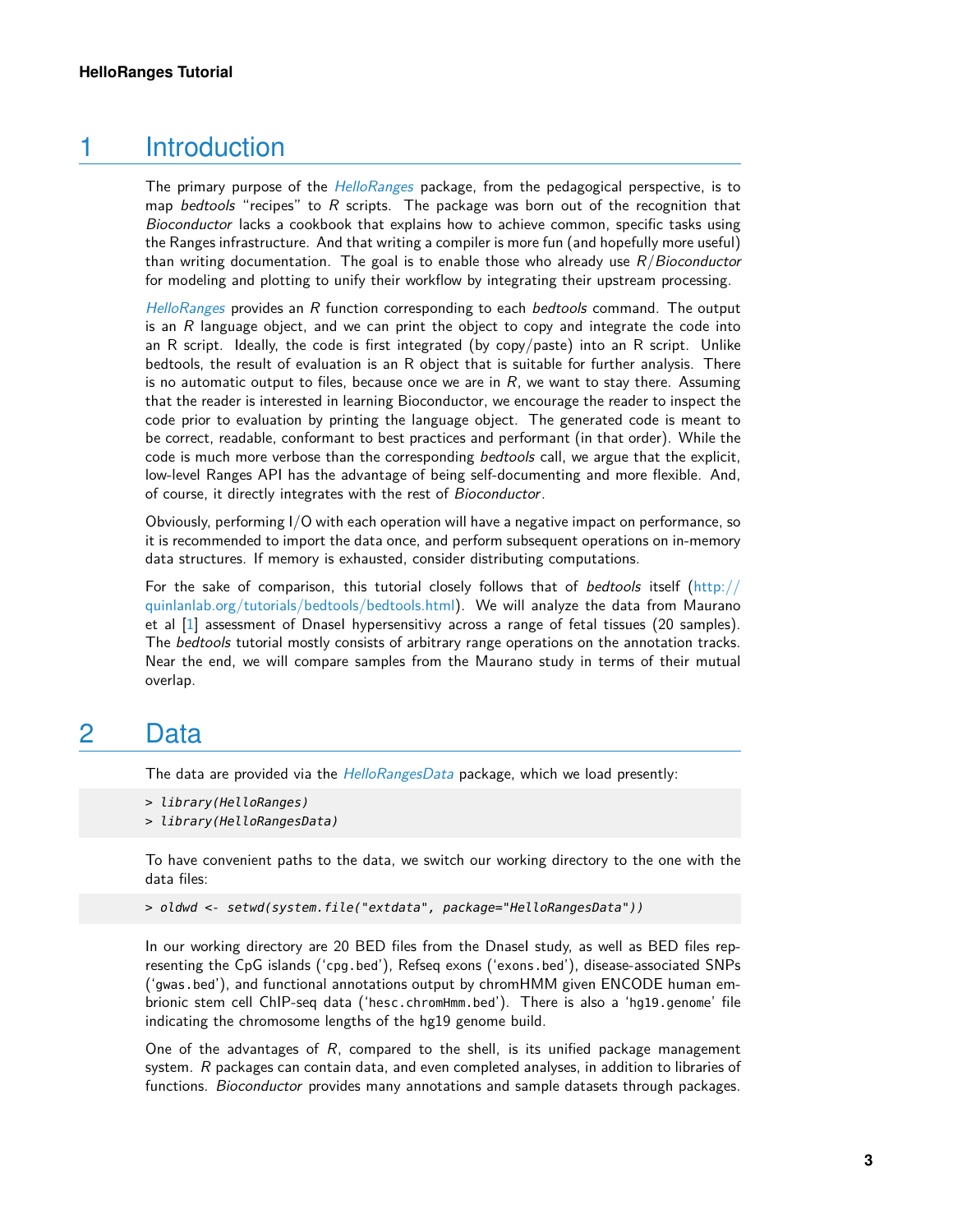## 1 Introduction

<span id="page-2-0"></span>The primary purpose of the [HelloRanges](http://bioconductor.org/packages/HelloRanges) package, from the pedagogical perspective, is to map bedtools "recipes" to  $R$  scripts. The package was born out of the recognition that Bioconductor lacks a cookbook that explains how to achieve common, specific tasks using the Ranges infrastructure. And that writing a compiler is more fun (and hopefully more useful) than writing documentation. The goal is to enable those who already use  $R/Bioconductor$ for modeling and plotting to unify their workflow by integrating their upstream processing.

 $HelloRanges$  provides an  $R$  function corresponding to each bedtools command. The output is an  $R$  language object, and we can print the object to copy and integrate the code into an R script. Ideally, the code is first integrated (by copy/paste) into an R script. Unlike bedtools, the result of evaluation is an R object that is suitable for further analysis. There is no automatic output to files, because once we are in  $R$ , we want to stay there. Assuming that the reader is interested in learning Bioconductor, we encourage the reader to inspect the code prior to evaluation by printing the language object. The generated code is meant to be correct, readable, conformant to best practices and performant (in that order). While the code is much more verbose than the corresponding bedtools call, we argue that the explicit, low-level Ranges API has the advantage of being self-documenting and more flexible. And, of course, it directly integrates with the rest of Bioconductor.

Obviously, performing I/O with each operation will have a negative impact on performance, so it is recommended to import the data once, and perform subsequent operations on in-memory data structures. If memory is exhausted, consider distributing computations.

For the sake of comparison, this tutorial closely follows that of bedtools itself [\(http://](http://quinlanlab.org/tutorials/bedtools/bedtools.html) [quinlanlab.org/tutorials/bedtools/bedtools.html\)](http://quinlanlab.org/tutorials/bedtools/bedtools.html). We will analyze the data from Maurano et al [\[1\]](#page-26-0) assessment of Dnasel hypersensitivy across a range of fetal tissues (20 samples). The bedtools tutorial mostly consists of arbitrary range operations on the annotation tracks. Near the end, we will compare samples from the Maurano study in terms of their mutual overlap.

## <span id="page-2-1"></span>2 Data

The data are provided via the *[HelloRangesData](http://bioconductor.org/packages/HelloRangesData)* package, which we load presently:

```
> library(HelloRanges)
```

```
> library(HelloRangesData)
```
To have convenient paths to the data, we switch our working directory to the one with the data files:

```
> oldwd <- setwd(system.file("extdata", package="HelloRangesData"))
```
In our working directory are 20 BED files from the Dnasel study, as well as BED files representing the CpG islands ('cpg.bed'), Refseq exons ('exons.bed'), disease-associated SNPs ('gwas.bed'), and functional annotations output by chromHMM given ENCODE human embrionic stem cell ChIP-seq data ('hesc.chromHmm.bed'). There is also a 'hg19.genome' file indicating the chromosome lengths of the hg19 genome build.

One of the advantages of  $R$ , compared to the shell, is its unified package management system.  $R$  packages can contain data, and even completed analyses, in addition to libraries of functions. Bioconductor provides many annotations and sample datasets through packages.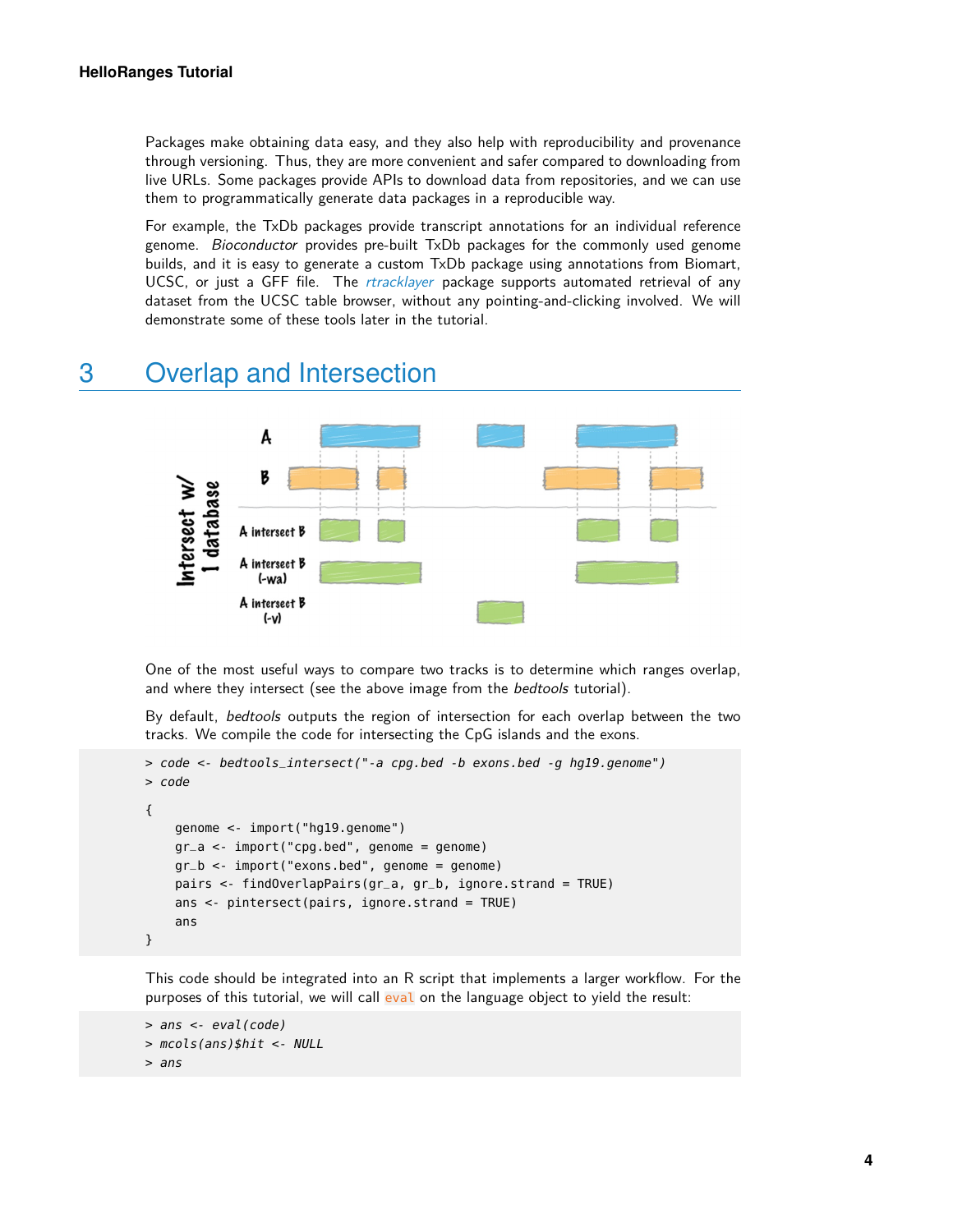Packages make obtaining data easy, and they also help with reproducibility and provenance through versioning. Thus, they are more convenient and safer compared to downloading from live URLs. Some packages provide APIs to download data from repositories, and we can use them to programmatically generate data packages in a reproducible way.

For example, the TxDb packages provide transcript annotations for an individual reference genome. Bioconductor provides pre-built TxDb packages for the commonly used genome builds, and it is easy to generate a custom TxDb package using annotations from Biomart, UCSC, or just a GFF file. The [rtracklayer](http://bioconductor.org/packages/rtracklayer) package supports automated retrieval of any dataset from the UCSC table browser, without any pointing-and-clicking involved. We will demonstrate some of these tools later in the tutorial.

## <span id="page-3-0"></span>3 Overlap and Intersection



One of the most useful ways to compare two tracks is to determine which ranges overlap, and where they intersect (see the above image from the *bedtools* tutorial).

By default, bedtools outputs the region of intersection for each overlap between the two tracks. We compile the code for intersecting the CpG islands and the exons.

```
> code <- bedtools_intersect("-a cpg.bed -b exons.bed -g hg19.genome")
> code
{
    genome <- import("hg19.genome")
    gr_a <- import("cpg.bed", genome = genome)
    gr_b <- import("exons.bed", genome = genome)
    pairs <- findOverlapPairs(gr_a, gr_b, ignore.strand = TRUE)
    ans <- pintersect(pairs, ignore.strand = TRUE)
    ans
}
```
This code should be integrated into an R script that implements a larger workflow. For the purposes of this tutorial, we will call eval on the language object to yield the result:

```
> ans <- eval(code)
> mcols(ans)$hit <- NULL
> ans
```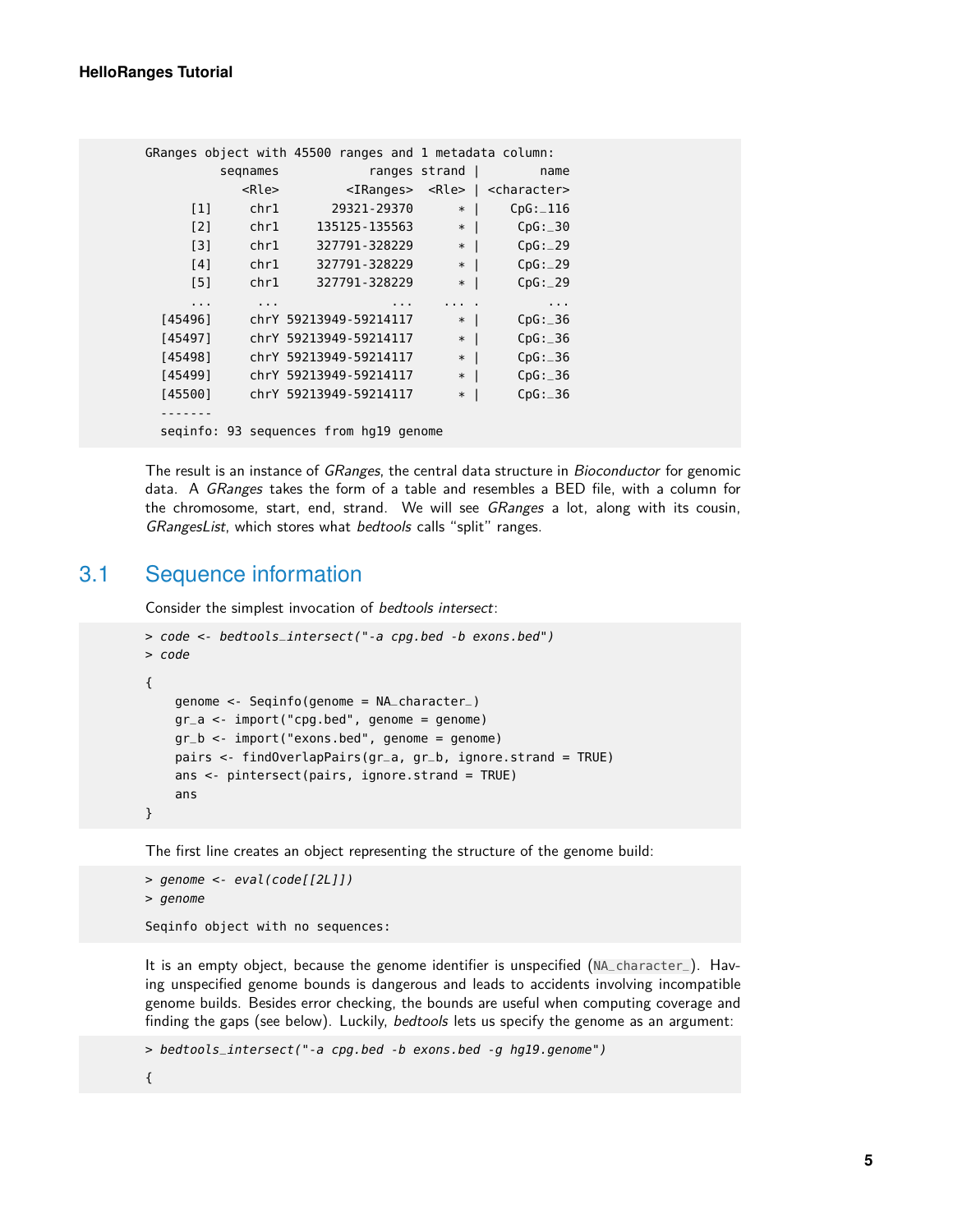|                      |                   |                      |                                        |          |               |           | GRanges object with 45500 ranges and 1 metadata column:   |
|----------------------|-------------------|----------------------|----------------------------------------|----------|---------------|-----------|-----------------------------------------------------------|
|                      | segnames          |                      |                                        |          | ranges strand |           | name                                                      |
|                      |                   | <rle></rle>          |                                        |          |               |           | <iranges> <rle>   <character></character></rle></iranges> |
|                      | $\lceil 1 \rceil$ | chr1                 | 29321-29370                            |          | $*$           |           | CpG: 116                                                  |
| $\lceil 2 \rceil$    |                   |                      | chr1          135125-135563            |          |               | $*$   $*$ | CpG: 30                                                   |
| $\lceil 3 \rceil$    |                   |                      | chr1   327791-328229                   |          | $*$           |           | CpG: 29                                                   |
| [4]                  |                   |                      | chr1   327791-328229                   |          | $*$           |           | CpG: 29                                                   |
| [5]                  |                   | chr1                 | 327791-328229                          |          | $*1$          |           | CpG: 29                                                   |
| $\sim$ $\sim$ $\sim$ |                   | $\sim$ $\sim$ $\sim$ |                                        | $\cdots$ |               |           | $\sim$ $\sim$ $\sim$                                      |
| [45496]              |                   |                      | chrY 59213949-59214117                 |          | $*$           |           | CpG: 36                                                   |
| [45497]              |                   |                      | chrY 59213949-59214117                 |          | $*$           |           | CpG: 36                                                   |
|                      | [45498]           |                      | chrY 59213949-59214117                 |          | $*$           |           | CpG: 36                                                   |
| [45499]              |                   |                      | chrY 59213949-59214117                 |          | $*$           |           | CpG: 36                                                   |
| [45500]              |                   |                      | chrY 59213949-59214117                 |          | $*$           |           | CpG: 36                                                   |
|                      |                   |                      |                                        |          |               |           |                                                           |
|                      |                   |                      | seginfo: 93 sequences from hg19 genome |          |               |           |                                                           |
|                      |                   |                      |                                        |          |               |           |                                                           |

The result is an instance of GRanges, the central data structure in Bioconductor for genomic data. A GRanges takes the form of a table and resembles a BED file, with a column for the chromosome, start, end, strand. We will see GRanges a lot, along with its cousin, GRangesList, which stores what bedtools calls "split" ranges.

#### 3.1 Sequence information

<span id="page-4-0"></span>Consider the simplest invocation of bedtools intersect:

```
> code <- bedtools_intersect("-a cpg.bed -b exons.bed")
> code
{
    genome <- Seqinfo(genome = NA_character_)
    gr_a <- import("cpg.bed", genome = genome)
    qr_b \leq 1 mport("exons.bed", genome = genome)
    pairs <- findOverlapPairs(gr_a, gr_b, ignore.strand = TRUE)
    ans <- pintersect(pairs, ignore.strand = TRUE)
    ans
}
```
The first line creates an object representing the structure of the genome build:

```
> genome <- eval(code[[2L]])
> genome
Seqinfo object with no sequences:
```
It is an empty object, because the genome identifier is unspecified (NA\_character\_). Having unspecified genome bounds is dangerous and leads to accidents involving incompatible genome builds. Besides error checking, the bounds are useful when computing coverage and finding the gaps (see below). Luckily, bedtools lets us specify the genome as an argument:

```
> bedtools_intersect("-a cpg.bed -b exons.bed -g hg19.genome")
```
{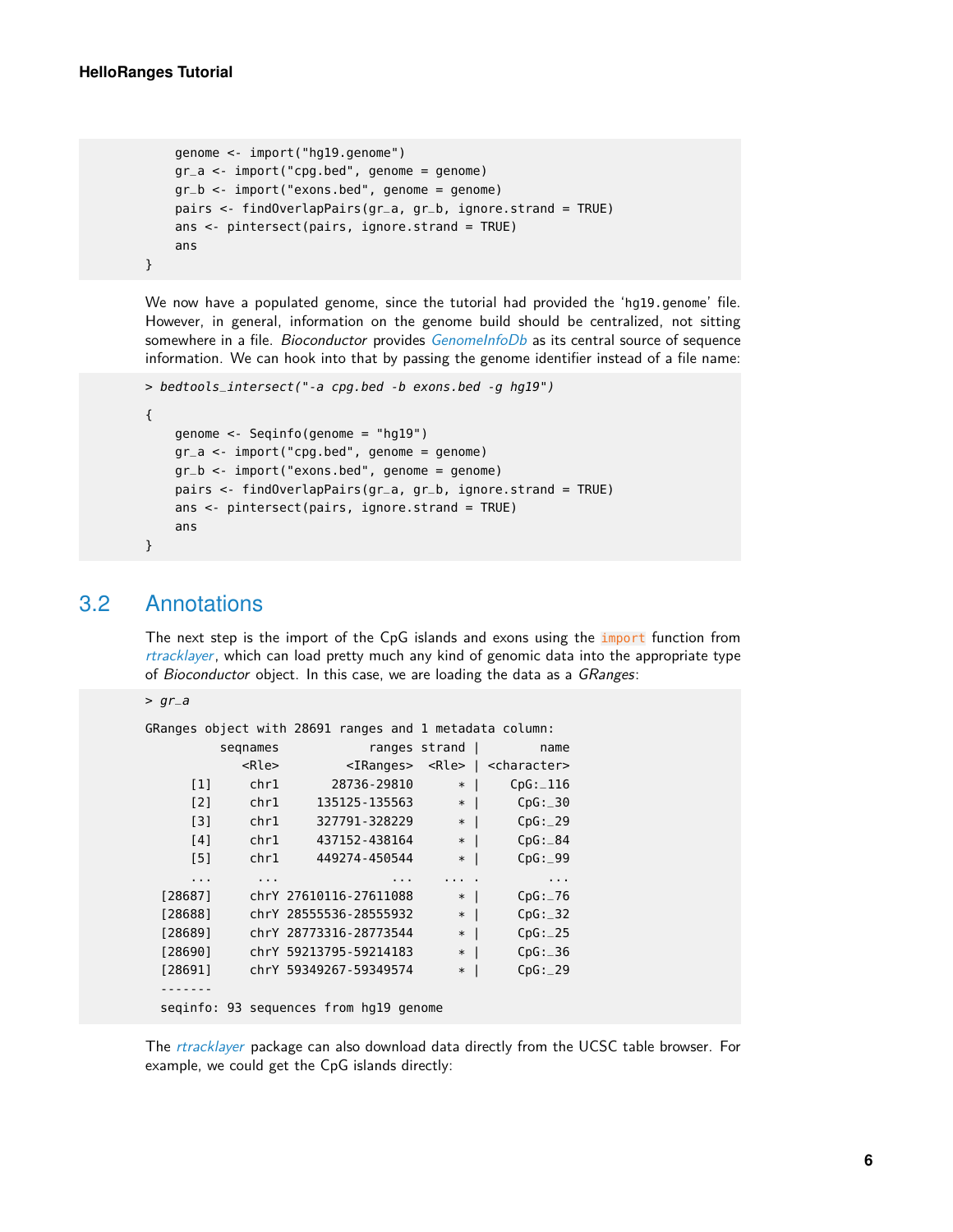}

```
genome <- import("hg19.genome")
gr_a <- import("cpg.bed", genome = genome)
gr_b < -import("exons.bed", genome = genome)pairs <- findOverlapPairs(gr_a, gr_b, ignore.strand = TRUE)
ans <- pintersect(pairs, ignore.strand = TRUE)
ans
```
We now have a populated genome, since the tutorial had provided the 'hg19.genome' file. However, in general, information on the genome build should be centralized, not sitting somewhere in a file. Bioconductor provides [GenomeInfoDb](http://bioconductor.org/packages/GenomeInfoDb) as its central source of sequence information. We can hook into that by passing the genome identifier instead of a file name:

```
> bedtools_intersect("-a cpg.bed -b exons.bed -g hg19")
{
    genome <- Seqinfo(genome = "hg19")
    gr_a <- import("cpg.bed", genome = genome)
    gr_b <- import("exons.bed", genome = genome)
    pairs <- findOverlapPairs(gr_a, gr_b, ignore.strand = TRUE)
    ans <- pintersect(pairs, ignore.strand = TRUE)
    ans
}
```
#### 3.2 Annotations

<span id="page-5-0"></span>The next step is the import of the CpG islands and exons using the *import* function from [rtracklayer](http://bioconductor.org/packages/rtracklayer), which can load pretty much any kind of genomic data into the appropriate type of Bioconductor object. In this case, we are loading the data as a GRanges:

```
> gr_a
```

|                   |             |                                        |               |                          | GRanges object with 28691 ranges and 1 metadata column:   |
|-------------------|-------------|----------------------------------------|---------------|--------------------------|-----------------------------------------------------------|
|                   | segnames    |                                        | ranges strand |                          | name                                                      |
|                   | <rle></rle> |                                        |               |                          | <iranges> <rle>   <character></character></rle></iranges> |
| $\lceil 1 \rceil$ | chr1        | 28736-29810                            | $\ast$        | $\overline{\phantom{a}}$ | CpG: 116                                                  |
| [2]               | chr1        | 135125 - 135563                        | $\ast$        | $\blacksquare$           | CpG: 30                                                   |
| $\lceil 3 \rceil$ | chr1        | 327791-328229                          | $\ast$        | $\blacksquare$           | CpG: 29                                                   |
| [4]               | chr1        | 437152-438164                          | $\ast$        | -1                       | CpG: 84                                                   |
| [5]               | chr1        | 449274-450544                          | $\ast$        | $\overline{\phantom{a}}$ | CpG: 99                                                   |
| .                 | $\cdots$    |                                        |               |                          | $\sim$ $\sim$                                             |
| [28687]           |             | chrY 27610116-27611088                 | $\ast$        | $\mathbf{I}$             | CpG: 76                                                   |
| [28688]           |             | chrY 28555536-28555932                 | $\ast$        | $\perp$                  | CpG: 32                                                   |
| [28689]           |             | chrY 28773316-28773544                 | $\ast$        | $\overline{\phantom{a}}$ | CpG: 25                                                   |
| [28690]           |             | chrY 59213795-59214183                 | $\ast$        | $\overline{\phantom{a}}$ | CpG: 36                                                   |
| [28691]           |             | chrY 59349267-59349574                 | $\ast$        |                          | CpG: 29                                                   |
|                   |             |                                        |               |                          |                                                           |
|                   |             | seginfo: 93 sequences from hg19 genome |               |                          |                                                           |

The [rtracklayer](http://bioconductor.org/packages/rtracklayer) package can also download data directly from the UCSC table browser. For example, we could get the CpG islands directly: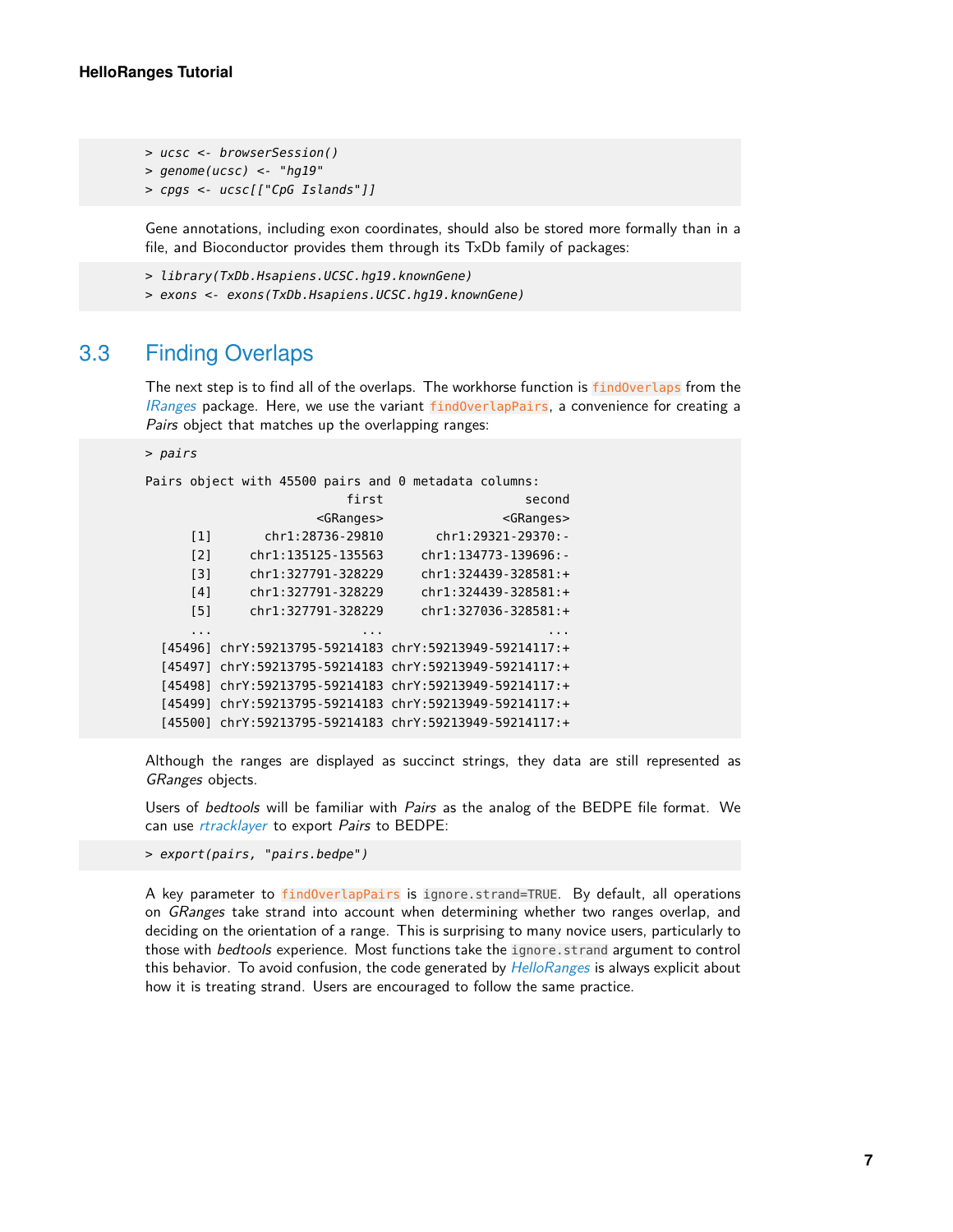```
> ucsc <- browserSession()
> genome(ucsc) <- "hg19"
> cpgs <- ucsc[["CpG Islands"]]
```
Gene annotations, including exon coordinates, should also be stored more formally than in a file, and Bioconductor provides them through its TxDb family of packages:

```
> library(TxDb.Hsapiens.UCSC.hg19.knownGene)
> exons <- exons(TxDb.Hsapiens.UCSC.hg19.knownGene)
```
#### 3.3 Finding Overlaps

The next step is to find all of the overlaps. The workhorse function is findOverlaps from the *[IRanges](http://bioconductor.org/packages/IRanges)* package. Here, we use the variant findOverlapPairs, a convenience for creating a Pairs object that matches up the overlapping ranges:

#### > pairs

Pairs object with 45500 pairs and 0 metadata columns:

```
first second
                 <GRanges> <GRanges>
   [1] chr1:28736-29810 chr1:29321-29370:-
   [2] chr1:135125-135563 chr1:134773-139696:-
   [3] chr1:327791-328229 chr1:324439-328581:+
   [4] chr1:327791-328229 chr1:324439-328581:+
   [5] chr1:327791-328229 chr1:327036-328581:+
   ... ... ...
[45496] chrY:59213795-59214183 chrY:59213949-59214117:+
[45497] chrY:59213795-59214183 chrY:59213949-59214117:+
[45498] chrY:59213795-59214183 chrY:59213949-59214117:+
[45499] chrY:59213795-59214183 chrY:59213949-59214117:+
[45500] chrY:59213795-59214183 chrY:59213949-59214117:+
```
Although the ranges are displayed as succinct strings, they data are still represented as GRanges objects.

Users of bedtools will be familiar with Pairs as the analog of the BEDPE file format. We can use *[rtracklayer](http://bioconductor.org/packages/rtracklayer)* to export Pairs to BEDPE:

> export(pairs, "pairs.bedpe")

<span id="page-6-1"></span>A key parameter to findOverlapPairs is ignore.strand=TRUE. By default, all operations on *GRanges* take strand into account when determining whether two ranges overlap, and deciding on the orientation of a range. This is surprising to many novice users, particularly to those with bedtools experience. Most functions take the ignore.strand argument to control this behavior. To avoid confusion, the code generated by [HelloRanges](http://bioconductor.org/packages/HelloRanges) is always explicit about how it is treating strand. Users are encouraged to follow the same practice.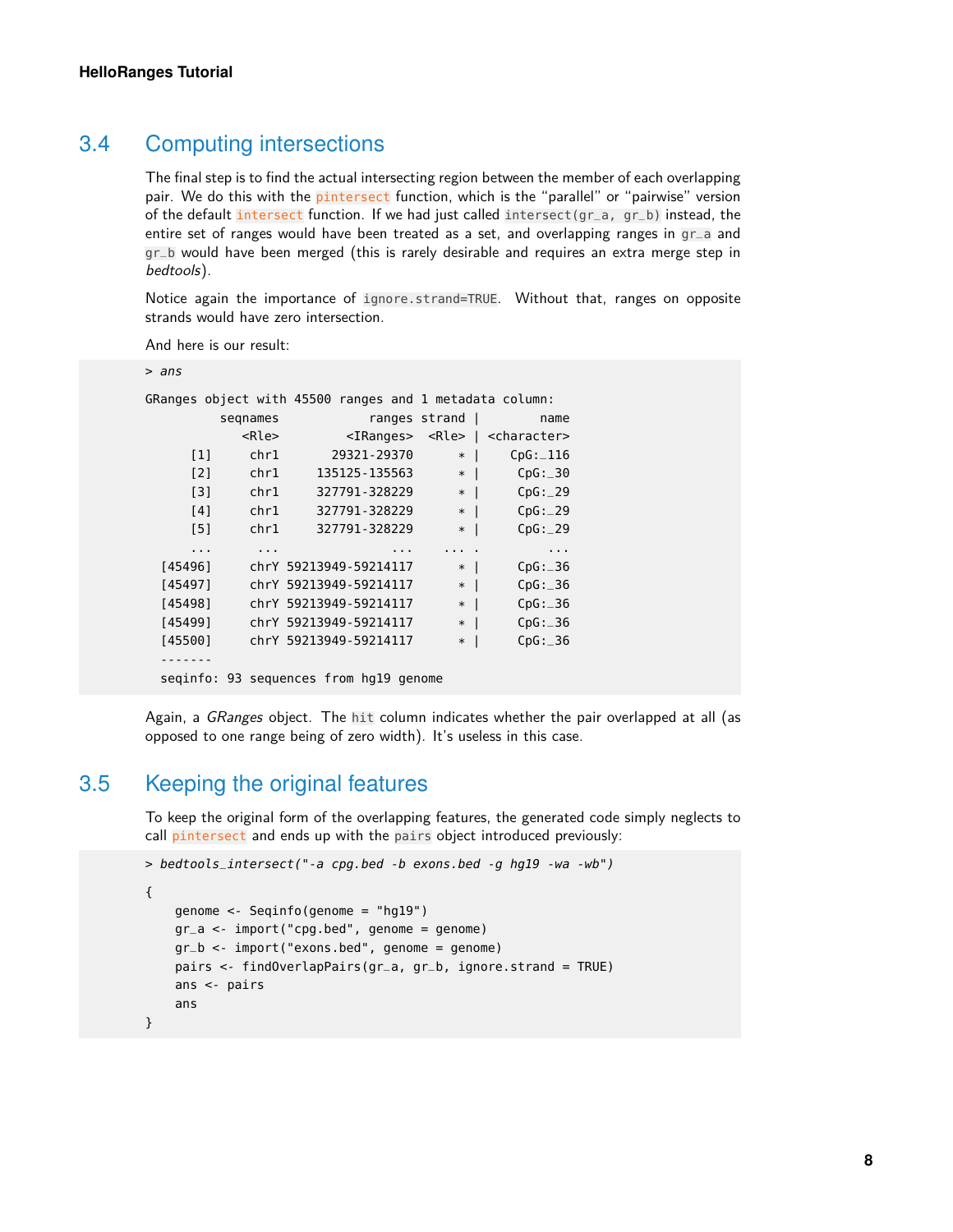#### 3.4 Computing intersections

The final step is to find the actual intersecting region between the member of each overlapping pair. We do this with the pintersect function, which is the "parallel" or "pairwise" version of the default intersect function. If we had just called intersect(gr\_a, gr\_b) instead, the entire set of ranges would have been treated as a set, and overlapping ranges in gr\_a and gr\_b would have been merged (this is rarely desirable and requires an extra merge step in bedtools).

Notice again the importance of ignore.strand=TRUE. Without that, ranges on opposite strands would have zero intersection.

And here is our result:

| ⋗ | ans |  |
|---|-----|--|
|   |     |  |

|                   |          |             |                                        |               |                                    | GRanges object with 45500 ranges and 1 metadata column:   |
|-------------------|----------|-------------|----------------------------------------|---------------|------------------------------------|-----------------------------------------------------------|
|                   | segnames |             |                                        | ranges strand |                                    | name                                                      |
|                   |          | <rle></rle> |                                        |               |                                    | <iranges> <rle>   <character></character></rle></iranges> |
| $\lceil 1 \rceil$ |          | chr1        | 29321-29370                            |               | $\overline{\phantom{a}}$<br>$\ast$ | CpG: 116                                                  |
| $\lceil 2 \rceil$ |          | chr1        | 135125 - 135563                        |               | $\overline{\phantom{a}}$<br>$\ast$ | CpG: 30                                                   |
| $\lceil 3 \rceil$ |          | chr1        | 327791-328229                          |               | $\overline{\phantom{a}}$<br>$\ast$ | CpG: 29                                                   |
| [4]               |          | chr1        | 327791-328229                          |               | -1<br>$\ast$                       | CpG: 29                                                   |
| [5]               |          | chr1        | 327791-328229                          |               | $\overline{\phantom{a}}$<br>$\ast$ | CpG: 29                                                   |
| $\cdots$          |          | $\cdots$    |                                        |               |                                    | $\sim$ $\sim$ $\sim$                                      |
| [45496]           |          |             | chrY 59213949-59214117                 |               | $\perp$<br>$\ast$                  | CpG: 36                                                   |
| [45497]           |          |             | chrY 59213949-59214117                 |               | $\overline{\phantom{a}}$<br>$\ast$ | CpG: 36                                                   |
| [45498]           |          |             | chrY 59213949-59214117                 |               | $\ast$<br>$\overline{\phantom{a}}$ | CpG: 36                                                   |
| [45499]           |          |             | chrY 59213949-59214117                 |               | $\overline{\phantom{a}}$<br>$\ast$ | CpG: 36                                                   |
| [45500]           |          |             | chrY 59213949-59214117                 |               | $\ast$                             | $CpG$ : 36                                                |
|                   |          |             |                                        |               |                                    |                                                           |
|                   |          |             | seginfo: 93 sequences from hg19 genome |               |                                    |                                                           |

<span id="page-7-0"></span>Again, a GRanges object. The hit column indicates whether the pair overlapped at all (as opposed to one range being of zero width). It's useless in this case.

#### 3.5 Keeping the original features

To keep the original form of the overlapping features, the generated code simply neglects to call pintersect and ends up with the pairs object introduced previously:

```
> bedtools_intersect("-a cpg.bed -b exons.bed -g hg19 -wa -wb")
{
    genome <- Seqinfo(genome = "hg19")
    gr_a <- import("cpg.bed", genome = genome)
    gr_b < -import("exons.bed", genome = genome)pairs <- findOverlapPairs(gr_a, gr_b, ignore.strand = TRUE)
    ans <- pairs
    ans
}
```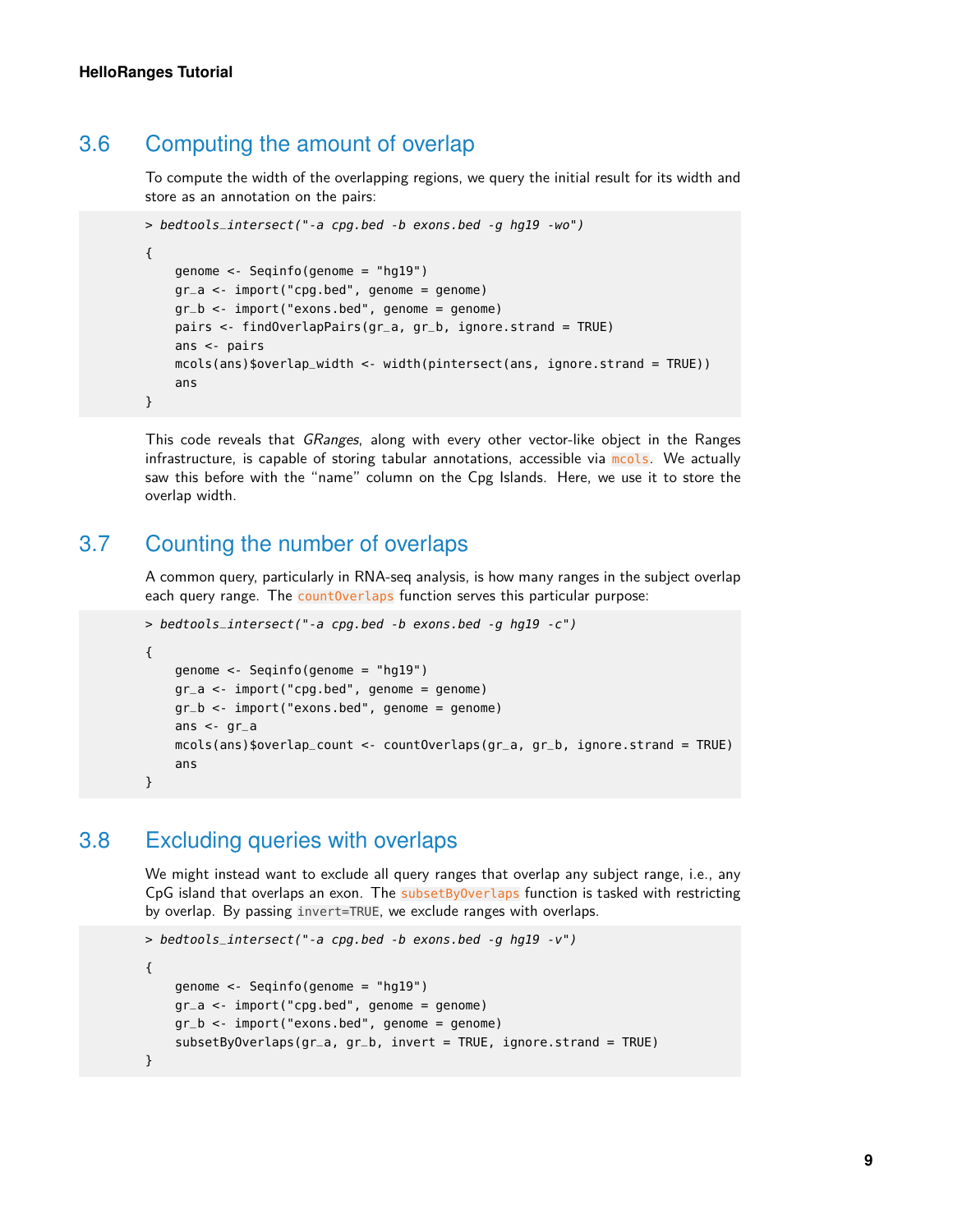#### 3.6 Computing the amount of overlap

To compute the width of the overlapping regions, we query the initial result for its width and store as an annotation on the pairs:

```
> bedtools_intersect("-a cpg.bed -b exons.bed -g hg19 -wo")
{
    genome <- Seqinfo(genome = "hg19")
    gr_a <- import("cpg.bed", genome = genome)
    gr_b <- import("exons.bed", genome = genome)
    pairs <- findOverlapPairs(gr_a, gr_b, ignore.strand = TRUE)
    ans <- pairs
    mcols(ans)$overlap_width <- width(pintersect(ans, ignore.strand = TRUE))
    ans
}
```
This code reveals that GRanges, along with every other vector-like object in the Ranges infrastructure, is capable of storing tabular annotations, accessible via mols. We actually saw this before with the "name" column on the Cpg Islands. Here, we use it to store the overlap width.

#### 3.7 Counting the number of overlaps

<span id="page-8-0"></span>A common query, particularly in RNA-seq analysis, is how many ranges in the subject overlap each query range. The **countOverlaps** function serves this particular purpose:

```
> bedtools_intersect("-a cpg.bed -b exons.bed -g hg19 -c")
{
    genome <- Seqinfo(genome = "hg19")
    gr_a < -import("cpg.bed", genome = genome)gr_b <- import("exons.bed", genome = genome)
    ans \lt- gr_a
    mcols(ans)$overlap_count <- countOverlaps(gr_a, gr_b, ignore.strand = TRUE)
    ans
}
```
### 3.8 Excluding queries with overlaps

<span id="page-8-1"></span>We might instead want to exclude all query ranges that overlap any subject range, i.e., any CpG island that overlaps an exon. The subsetByOverlaps function is tasked with restricting by overlap. By passing invert=TRUE, we exclude ranges with overlaps.

```
> bedtools_intersect("-a cpg.bed -b exons.bed -g hg19 -v")
{
    genome <- Seqinfo(genome = "hg19")
    gr_a < -import("cpg.bed", genome = genome)gr_b <- import("exons.bed", genome = genome)
    subsetByOverlaps(gr_a, gr_b, invert = TRUE, ignore.strand = TRUE)}
```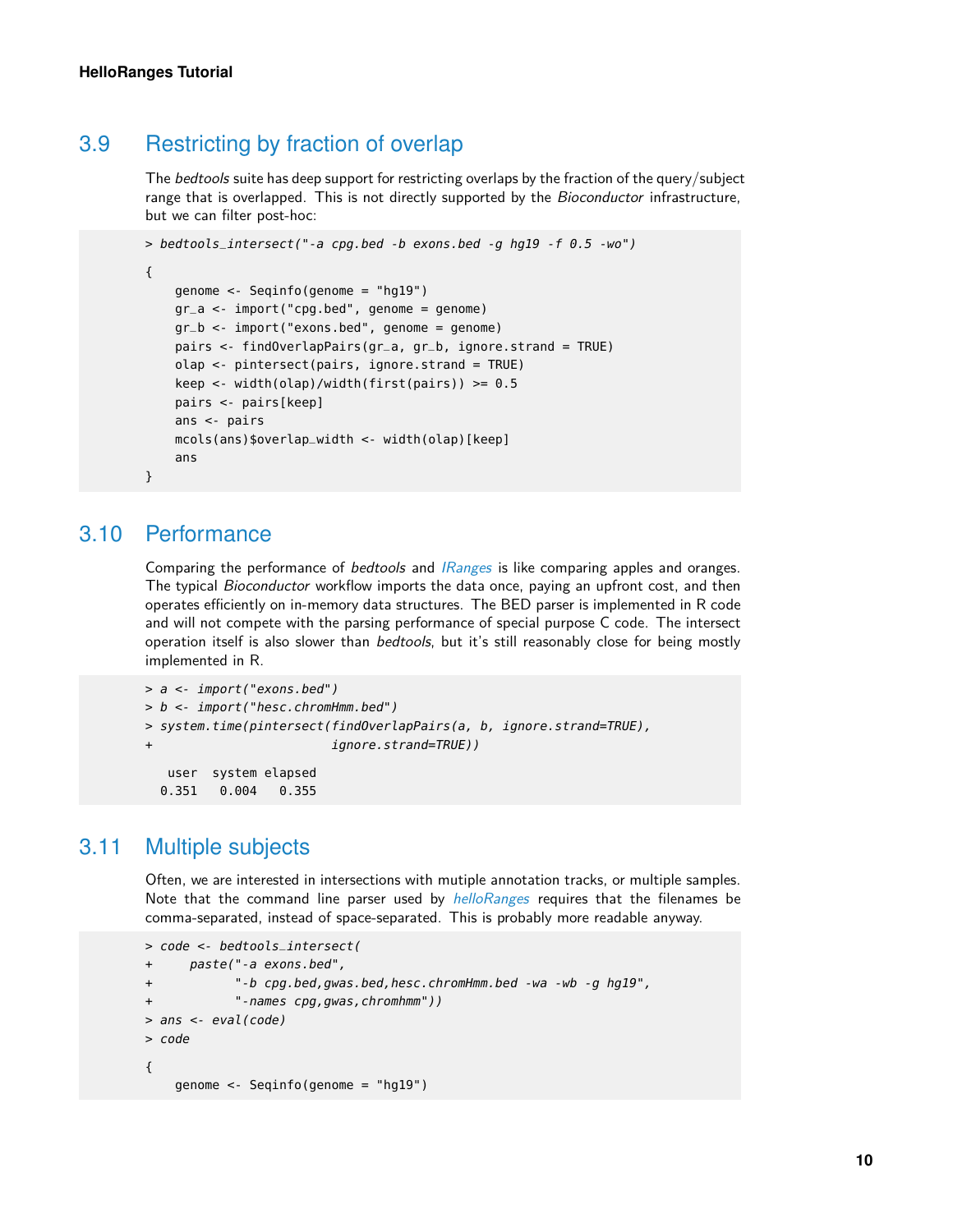### 3.9 Restricting by fraction of overlap

The *bedtools* suite has deep support for restricting overlaps by the fraction of the query/subject range that is overlapped. This is not directly supported by the Bioconductor infrastructure, but we can filter post-hoc:

```
> bedtools_intersect("-a cpg.bed -b exons.bed -g hg19 -f 0.5 -wo")
{
    genome <- Seqinfo(genome = "hg19")
    gr_a <- import("cpg.bed", genome = genome)
    gr_b < -import("exons.bed", genome = genome)pairs <- findOverlapPairs(gr_a, gr_b, ignore.strand = TRUE)
    olap <- pintersect(pairs, ignore.strand = TRUE)
    keep <- width(olap)/width(first(pairs)) >= 0.5
    pairs <- pairs[keep]
    ans <- pairs
    mcols(ans)$overlap_width <- width(olap)[keep]
    ans
}
```
#### 3.10 Performance

<span id="page-9-0"></span>Comparing the performance of *bedtools* and *[IRanges](http://bioconductor.org/packages/IRanges)* is like comparing apples and oranges. The typical *Bioconductor* workflow imports the data once, paying an upfront cost, and then operates efficiently on in-memory data structures. The BED parser is implemented in R code and will not compete with the parsing performance of special purpose C code. The intersect operation itself is also slower than bedtools, but it's still reasonably close for being mostly implemented in R.

```
> a <- import("exons.bed")
> b <- import("hesc.chromHmm.bed")
> system.time(pintersect(findOverlapPairs(a, b, ignore.strand=TRUE),
+ ignore.strand=TRUE))
  user system elapsed
 0.351 0.004 0.355
```
#### 3.11 Multiple subjects

<span id="page-9-1"></span>Often, we are interested in intersections with mutiple annotation tracks, or multiple samples. Note that the command line parser used by *[helloRanges](http://bioconductor.org/packages/helloRanges)* requires that the filenames be comma-separated, instead of space-separated. This is probably more readable anyway.

```
> code <- bedtools_intersect(
+ paste("-a exons.bed",
+ "-b cpg.bed,gwas.bed,hesc.chromHmm.bed -wa -wb -g hg19",
+ "-names cpg,gwas,chromhmm"))
> ans <- eval(code)
> code
{
   genome <- Seqinfo(genome = "hg19")
```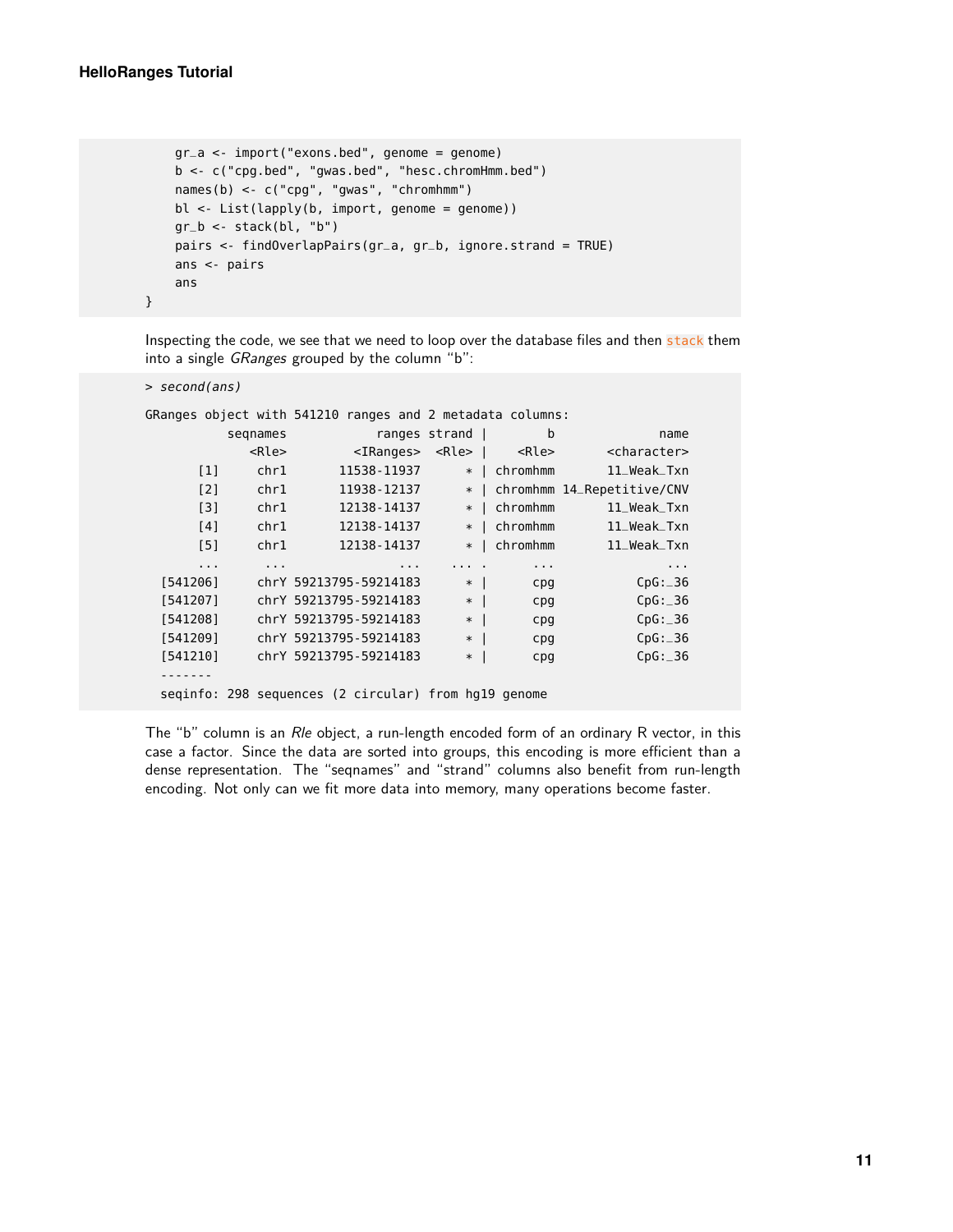}

```
gr_a <- import("exons.bed", genome = genome)
b <- c("cpg.bed", "gwas.bed", "hesc.chromHmm.bed")
names(b) <- c("cpg", "gwas", "chromhmm")
bl <- List(lapply(b, import, genome = genome))
gr_b \leq -\text{stack(bl, "b")}pairs <- findOverlapPairs(gr_a, gr_b, ignore.strand = TRUE)
ans <- pairs
ans
```
Inspecting the code, we see that we need to loop over the database files and then stack them into a single GRanges grouped by the column "b":

```
> second(ans)
```
GRanges object with 541210 ranges and 2 metadata columns:

|                      | segnames    |                                                      | ranges strand | b           | name                       |
|----------------------|-------------|------------------------------------------------------|---------------|-------------|----------------------------|
|                      | <rle></rle> | $<$ IRanges $>$                                      | $<$ Rle>      | <rle></rle> | <character></character>    |
| $\lceil 1 \rceil$    | chr1        | 11538-11937                                          | $\ast$        | chromhmm    | 11_Weak_Txn                |
| [2]                  | chr1        | 11938 - 12137                                        | $\ast$        |             | chromhmm 14_Repetitive/CNV |
| [3]                  | chr1        | 12138-14137                                          | $\ast$        | chromhmm    | 11_Weak_Txn                |
| [4]                  | chr1        | 12138-14137                                          | $\ast$        | chromhmm    | 11_Weak_Txn                |
| [5]                  | chr1        | 12138 - 14137                                        | $\ast$        | chromhmm    | 11_Weak_Txn                |
| $\sim$ $\sim$ $\sim$ | $\cdots$    | $\cdots$                                             |               | $\cdots$    | $\sim$ $\sim$ $\sim$       |
| [541206]             |             | chrY 59213795-59214183                               | $*$           | cpg         | CpG: 36                    |
| [541207]             |             | chrY 59213795-59214183                               | $\ast$        | cpq         | CpG: 36                    |
| [541208]             |             | chrY 59213795-59214183                               | $\ast$        | cpg         | CpG: 36                    |
| [541209]             |             | chrY 59213795-59214183                               | $\ast$        | cpg         | CpG: 36                    |
| [541210]             |             | chrY 59213795-59214183                               | $\ast$        | cpg         | CpG: 36                    |
|                      |             |                                                      |               |             |                            |
|                      |             | seginfo: 298 sequences (2 circular) from hg19 genome |               |             |                            |

<span id="page-10-0"></span>The "b" column is an Rle object, a run-length encoded form of an ordinary R vector, in this case a factor. Since the data are sorted into groups, this encoding is more efficient than a dense representation. The "seqnames" and "strand" columns also benefit from run-length encoding. Not only can we fit more data into memory, many operations become faster.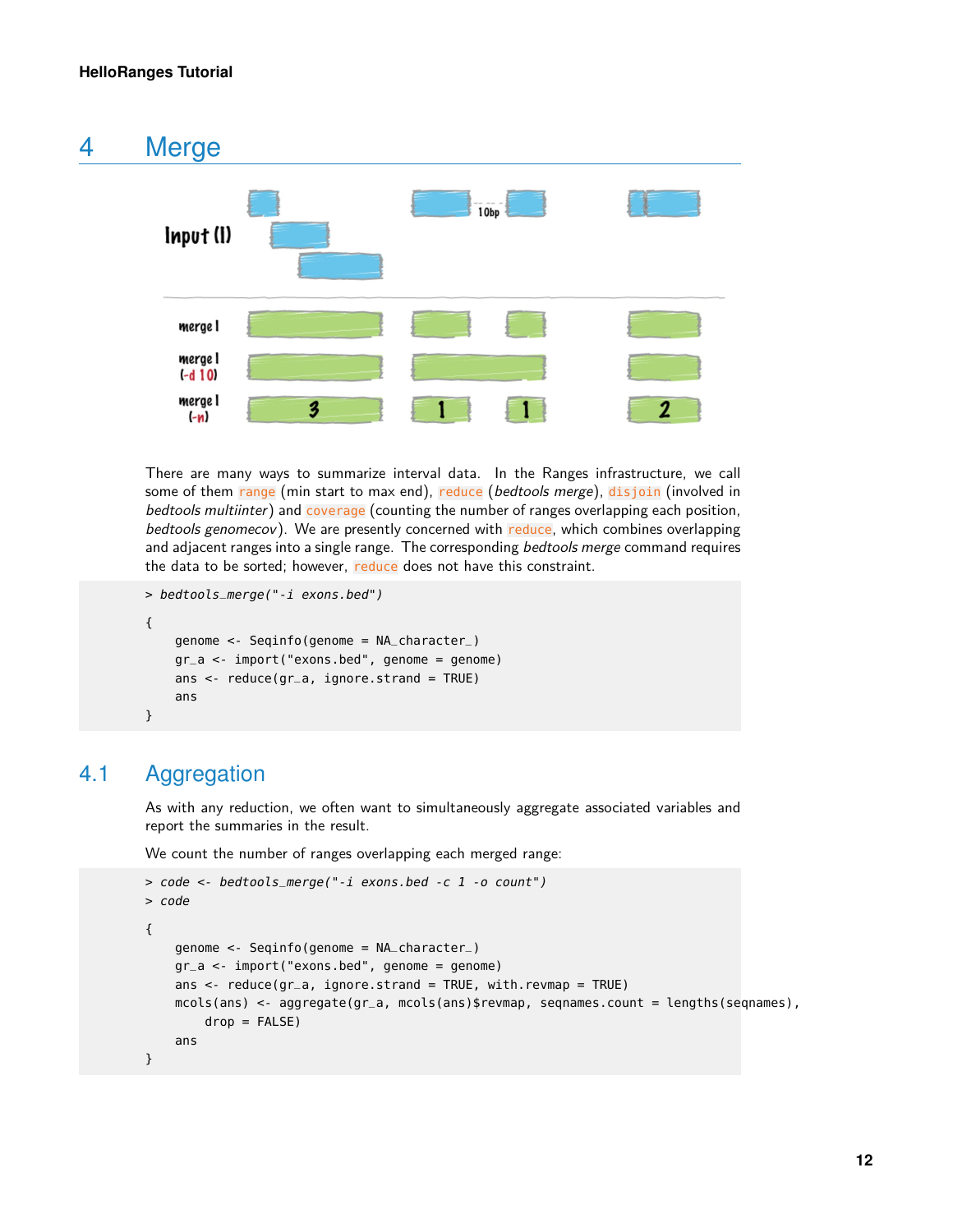

There are many ways to summarize interval data. In the Ranges infrastructure, we call some of them range (min start to max end), reduce (bedtools merge), disjoin (involved in bedtools multiinter) and coverage (counting the number of ranges overlapping each position, bedtools genomecov). We are presently concerned with reduce, which combines overlapping and adjacent ranges into a single range. The corresponding bedtools merge command requires the data to be sorted; however, reduce does not have this constraint.

```
> bedtools_merge("-i exons.bed")
{
    genome <- Seqinfo(genome = NA_character_)
    gr_a <- import("exons.bed", genome = genome)
    ans \leq reduce(gr_a, ignore.strand = TRUE)
    ans
```

```
}
```
## 4.1 Aggregation

As with any reduction, we often want to simultaneously aggregate associated variables and report the summaries in the result.

We count the number of ranges overlapping each merged range:

```
> code <- bedtools_merge("-i exons.bed -c 1 -o count")
> code
{
    genome <- Seqinfo(genome = NA_character_)
    gr_a <- import("exons.bed", genome = genome)
    ans \leq reduce(gr_a, ignore.strand = TRUE, with.revmap = TRUE)
    mcols(ans) <- aggregate(gr_a, mcols(ans)$revmap, seqnames.count = lengths(seqnames),
        drop = FALSE)ans
}
```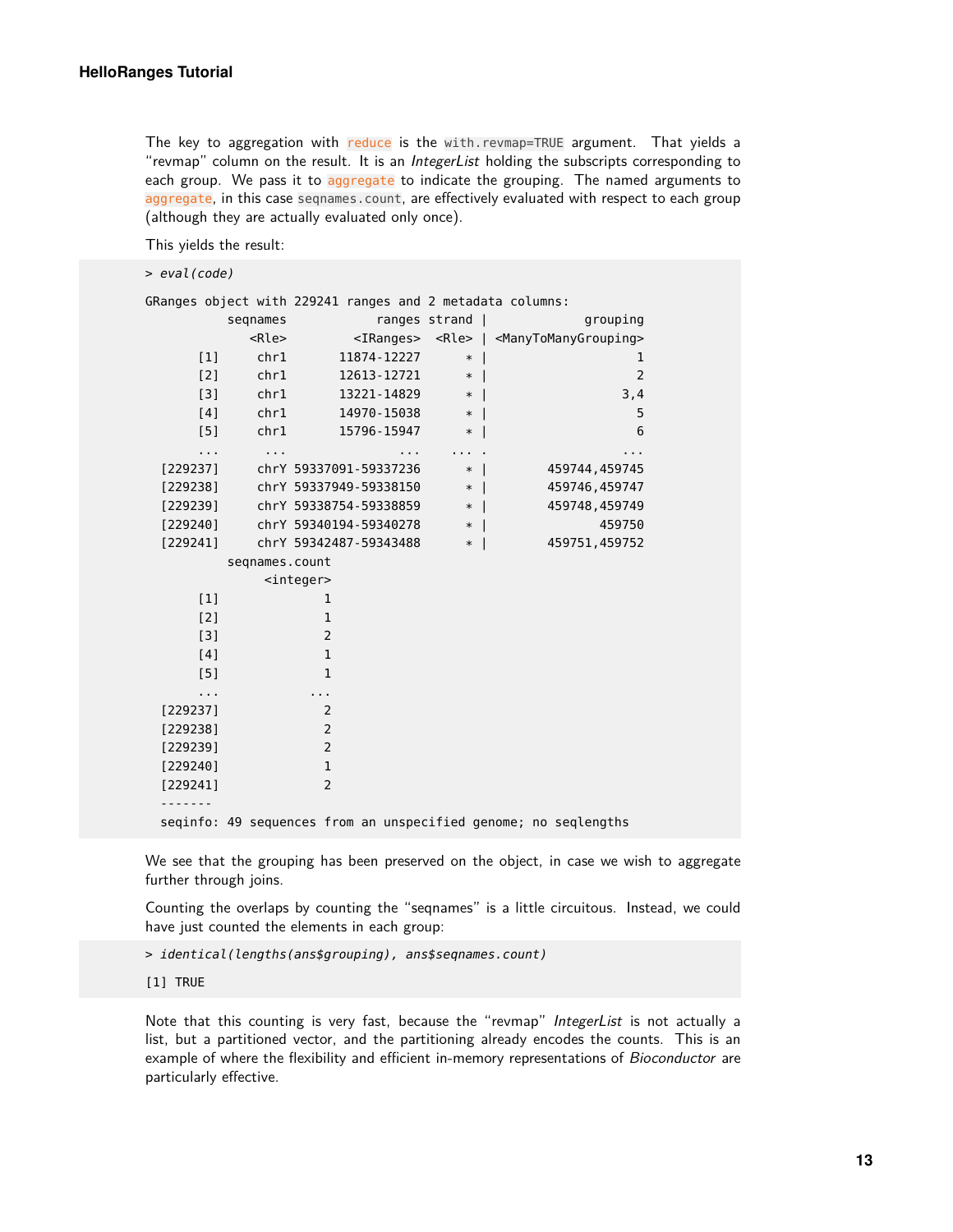The key to aggregation with reduce is the with.revmap=TRUE argument. That yields a "revmap" column on the result. It is an IntegerList holding the subscripts corresponding to each group. We pass it to aggregate to indicate the grouping. The named arguments to aggregate, in this case seqnames.count, are effectively evaluated with respect to each group (although they are actually evaluated only once).

This yields the result:

> eval(code)

|                      |               |                      |                        |               |   |               |                             | GRanges object with 229241 ranges and 2 metadata columns:                   |
|----------------------|---------------|----------------------|------------------------|---------------|---|---------------|-----------------------------|-----------------------------------------------------------------------------|
|                      |               | segnames             |                        |               |   | ranges strand |                             | grouping                                                                    |
|                      |               | <rle></rle>          |                        |               |   |               |                             | <iranges> <rle>   <manytomanygrouping></manytomanygrouping></rle></iranges> |
|                      | $[1]$         | chr1                 |                        | 11874 - 12227 |   |               | $*$                         | $\mathbf{1}$                                                                |
|                      | [2]           | chr1                 |                        | 12613 - 12721 |   |               | $*$                         | 2                                                                           |
|                      | [3]           | chr1                 |                        | 13221 - 14829 |   |               | $*$                         | 3,4                                                                         |
|                      | [4]           | chr1                 |                        | 14970 - 15038 |   |               | $*1$                        | 5                                                                           |
|                      | [5]           | chr1                 |                        | 15796 - 15947 |   |               | $*1$                        | 6                                                                           |
|                      | $\sim$ $\sim$ | $\sim$ $\sim$ $\sim$ |                        |               | . |               | $\sim$ $\sim$ $\sim$ $\sim$ | $\cdots$                                                                    |
| [229237]             |               |                      | chrY 59337091-59337236 |               |   |               | $*$                         | 459744,459745                                                               |
| [229238]             |               |                      | chrY 59337949-59338150 |               |   |               | $*$                         | 459746,459747                                                               |
| [229239]             |               |                      | chrY 59338754-59338859 |               |   |               | $*1$                        | 459748,459749                                                               |
| [229240]             |               |                      | chrY 59340194-59340278 |               |   |               | $\ast$                      | 459750                                                                      |
| [229241]             |               |                      | chrY 59342487-59343488 |               |   |               | $*1$                        | 459751,459752                                                               |
|                      |               | segnames.count       |                        |               |   |               |                             |                                                                             |
|                      |               |                      | <integer></integer>    |               |   |               |                             |                                                                             |
|                      | $[1]$         |                      | 1                      |               |   |               |                             |                                                                             |
| $[2]$                |               |                      | 1                      |               |   |               |                             |                                                                             |
|                      | $[3]$         |                      | $\overline{2}$         |               |   |               |                             |                                                                             |
| [4]                  |               |                      | $\mathbf{1}$           |               |   |               |                             |                                                                             |
| [5]                  |               |                      | $\mathbf{1}$           |               |   |               |                             |                                                                             |
| $\sim$ $\sim$ $\sim$ |               |                      | $\sim$ 10 $\pm$        |               |   |               |                             |                                                                             |
| [229237]             |               |                      | 2                      |               |   |               |                             |                                                                             |
| [229238]             |               |                      | $\overline{2}$         |               |   |               |                             |                                                                             |
| [229239]             |               |                      | $\overline{2}$         |               |   |               |                             |                                                                             |
| [229240]             |               |                      | $\mathbf 1$            |               |   |               |                             |                                                                             |
| [229241]             |               |                      | 2                      |               |   |               |                             |                                                                             |
|                      |               |                      |                        |               |   |               |                             |                                                                             |
|                      |               |                      |                        |               |   |               |                             | seqinfo: 49 sequences from an unspecified genome; no seqlengths             |

We see that the grouping has been preserved on the object, in case we wish to aggregate further through joins.

Counting the overlaps by counting the "seqnames" is a little circuitous. Instead, we could have just counted the elements in each group:

> identical(lengths(ans\$grouping), ans\$seqnames.count)

[1] TRUE

<span id="page-12-0"></span>Note that this counting is very fast, because the "revmap" IntegerList is not actually a list, but a partitioned vector, and the partitioning already encodes the counts. This is an example of where the flexibility and efficient in-memory representations of Bioconductor are particularly effective.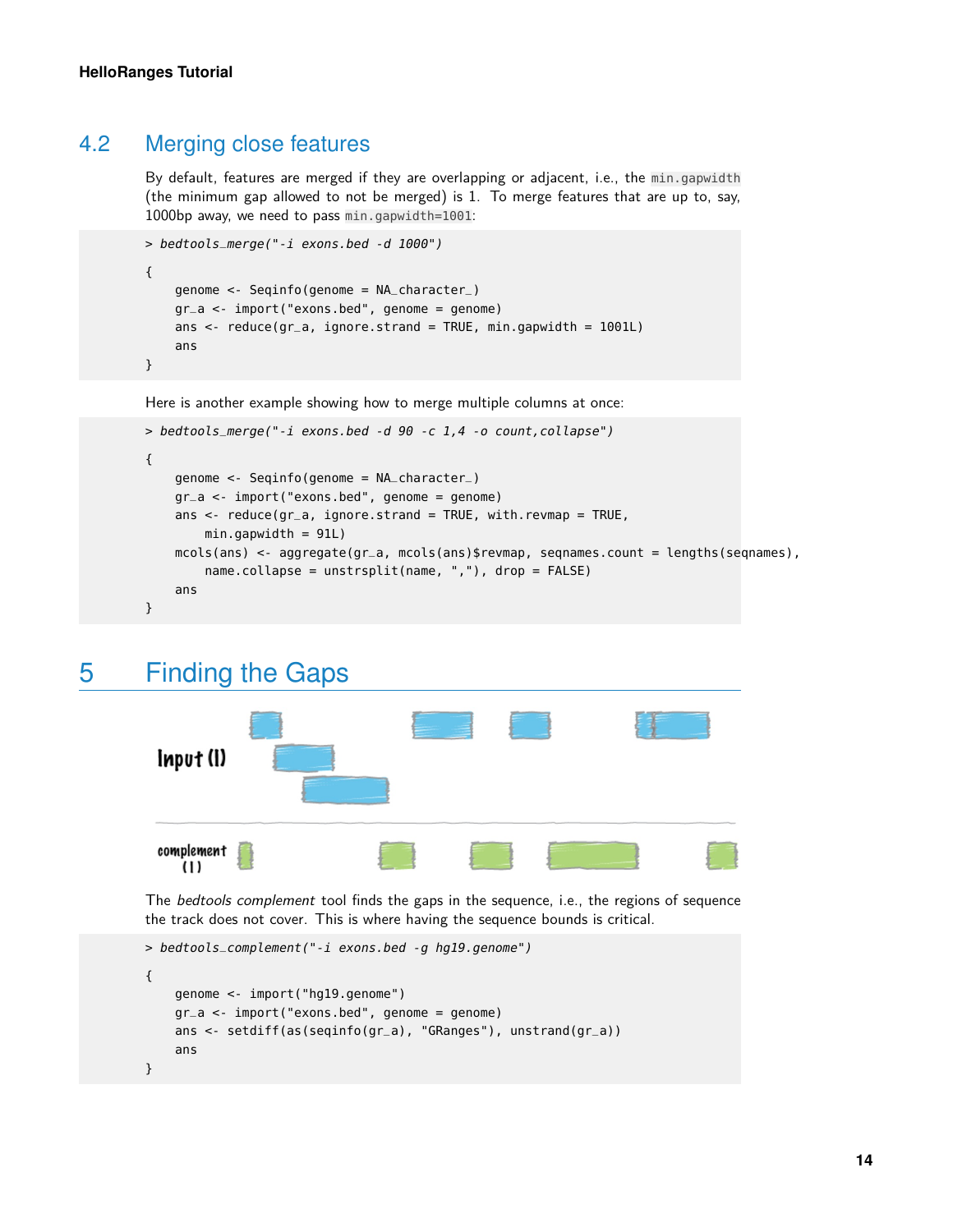#### 4.2 Merging close features

By default, features are merged if they are overlapping or adjacent, i.e., the min.gapwidth (the minimum gap allowed to not be merged) is 1. To merge features that are up to, say, 1000bp away, we need to pass min.gapwidth=1001:

```
> bedtools_merge("-i exons.bed -d 1000")
{
    genome <- Seqinfo(genome = NA_character_)
    gr_a <- import("exons.bed", genome = genome)
    ans \leq reduce(gr_a, ignore.strand = TRUE, min.gapwidth = 1001L)
    ans
}
```
Here is another example showing how to merge multiple columns at once:

```
> bedtools_merge("-i exons.bed -d 90 -c 1,4 -o count,collapse")
{
    genome <- Seqinfo(genome = NA_character_)
    gr_a <- import("exons.bed", genome = genome)
    ans \leq reduce(gr_a, ignore.strand = TRUE, with.revmap = TRUE,
        min.gapwidth = 91L)
    mcols(ans) <- aggregate(gr_a, mcols(ans)$revmap, seqnames.count = lengths(seqnames),
        name.collapse = unstrsplit(name, ","), drop = FALSE)
    ans
}
```
## 5 Finding the Gaps

<span id="page-13-0"></span>

The *bedtools complement* tool finds the gaps in the sequence, i.e., the regions of sequence the track does not cover. This is where having the sequence bounds is critical.

```
> bedtools_complement("-i exons.bed -g hg19.genome")
{
    genome <- import("hg19.genome")
    gr_a <- import("exons.bed", genome = genome)
    ans <- setdiff(as(seqinfo(gr_a), "GRanges"), unstrand(gr_a))
    ans
}
```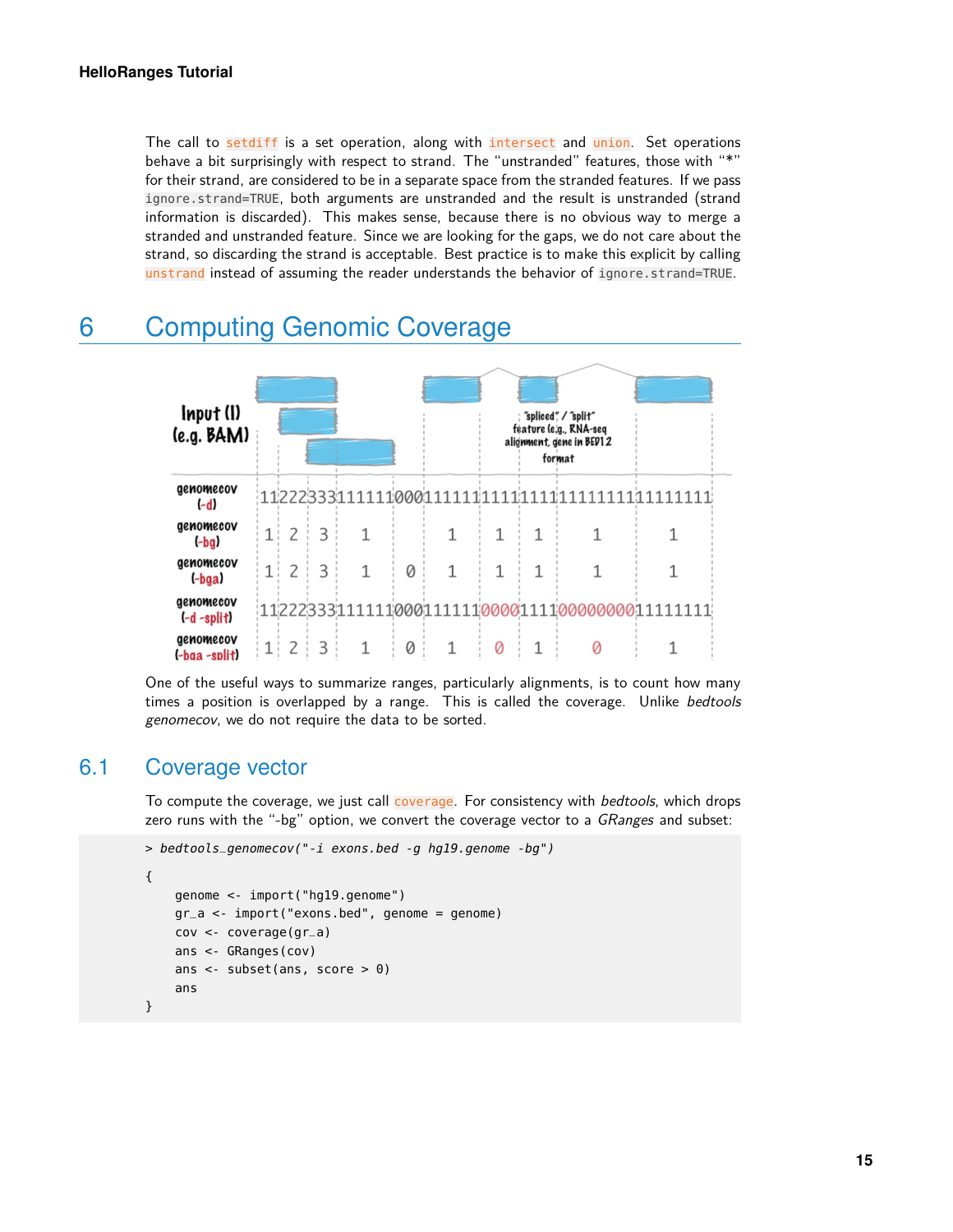The call to setdiff is a set operation, along with intersect and union. Set operations behave a bit surprisingly with respect to strand. The "unstranded" features, those with "\*" for their strand, are considered to be in a separate space from the stranded features. If we pass ignore.strand=TRUE, both arguments are unstranded and the result is unstranded (strand information is discarded). This makes sense, because there is no obvious way to merge a stranded and unstranded feature. Since we are looking for the gaps, we do not care about the strand, so discarding the strand is acceptable. Best practice is to make this explicit by calling unstrand instead of assuming the reader understands the behavior of ignore.strand=TRUE.

<span id="page-14-0"></span>

## 6 Computing Genomic Coverage

<span id="page-14-1"></span>One of the useful ways to summarize ranges, particularly alignments, is to count how many times a position is overlapped by a range. This is called the coverage. Unlike bedtools genomecov, we do not require the data to be sorted.

#### 6.1 Coverage vector

To compute the coverage, we just call coverage. For consistency with *bedtools*, which drops zero runs with the "-bg" option, we convert the coverage vector to a GRanges and subset:

```
> bedtools_genomecov("-i exons.bed -g hg19.genome -bg")
{
    genome <- import("hg19.genome")
    gr_a <- import("exons.bed", genome = genome)
    cov <- coverage(gr_a)
    ans <- GRanges(cov)
    ans <- subset(ans, score > 0)
    ans
}
```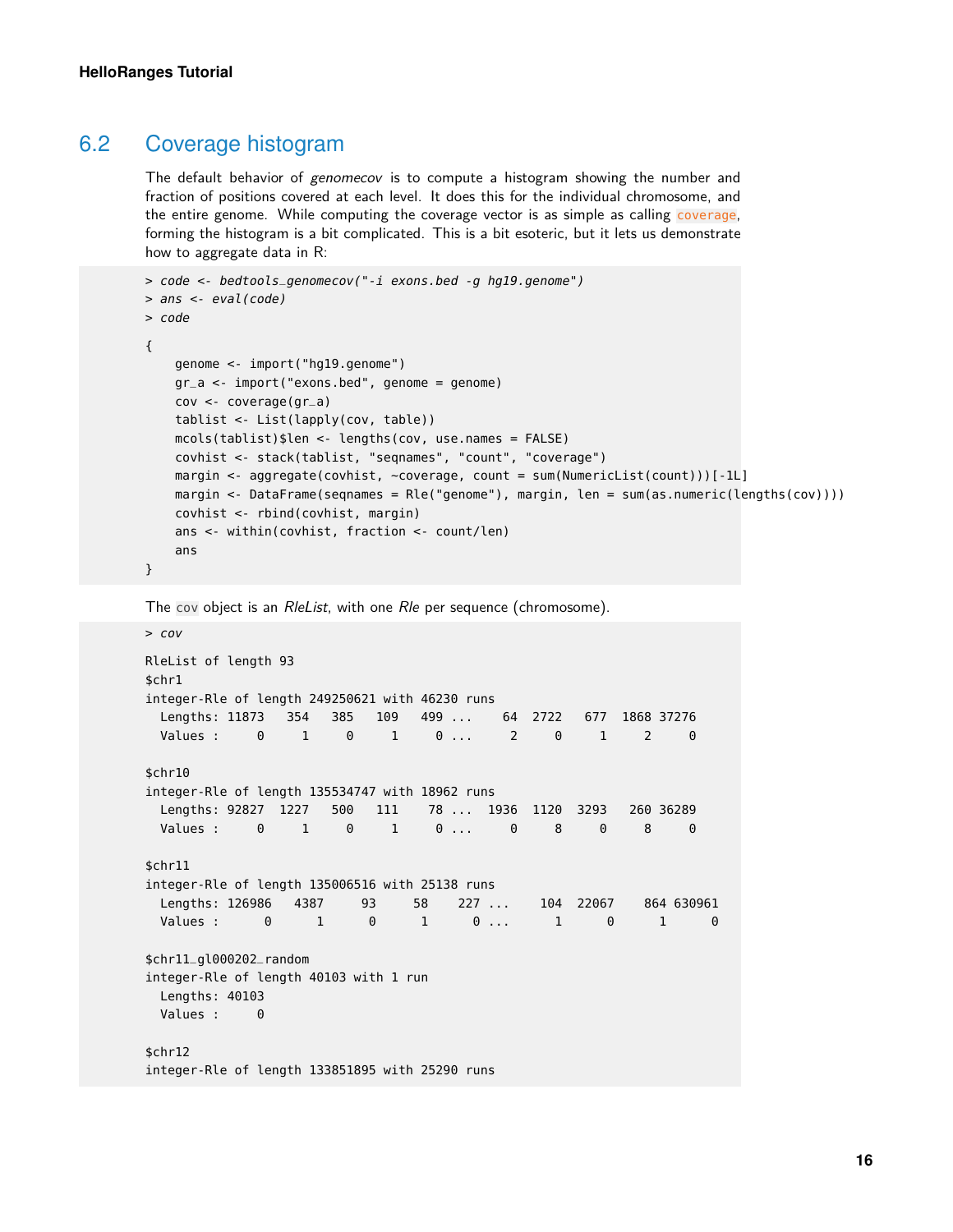#### 6.2 Coverage histogram

The default behavior of genomecov is to compute a histogram showing the number and fraction of positions covered at each level. It does this for the individual chromosome, and the entire genome. While computing the coverage vector is as simple as calling coverage, forming the histogram is a bit complicated. This is a bit esoteric, but it lets us demonstrate how to aggregate data in R:

```
> code <- bedtools_genomecov("-i exons.bed -g hg19.genome")
> ans <- eval(code)
> code
{
    genome <- import("hg19.genome")
    gr_a <- import("exons.bed", genome = genome)
    cov <- coverage(gr_a)
    tablist <- List(lapply(cov, table))
    mcols(tablist)$len <- lengths(cov, use.names = FALSE)
    covhist <- stack(tablist, "seqnames", "count", "coverage")
    margin <- aggregate(covhist, ~coverage, count = sum(NumericList(count)))[-1L]
    margin <- DataFrame(seqnames = Rle("genome"), margin, len = sum(as.numeric(lengths(cov))))
    covhist <- rbind(covhist, margin)
    ans <- within(covhist, fraction <- count/len)
    ans
}
```
The cov object is an RleList, with one Rle per sequence (chromosome).

```
> cov
RleList of length 93
$chr1
integer-Rle of length 249250621 with 46230 runs
 Lengths: 11873 354 385 109 499 ... 64 2722 677 1868 37276
  Values : 0 1 0 1 0 ... 2 0 1 2 0
$chr10
integer-Rle of length 135534747 with 18962 runs
 Lengths: 92827 1227 500 111 78 ... 1936 1120 3293 260 36289
  Values : 0 1 0 1 0 ... 0 8 0 8 0
$chr11
integer-Rle of length 135006516 with 25138 runs
 Lengths: 126986 4387 93 58 227 ... 104 22067 864 630961
  Values : 0 1 0 1 0 ... 1 0 1 0
$chr11_gl000202_random
integer-Rle of length 40103 with 1 run
 Lengths: 40103
 Values : 0
$chr12
integer-Rle of length 133851895 with 25290 runs
```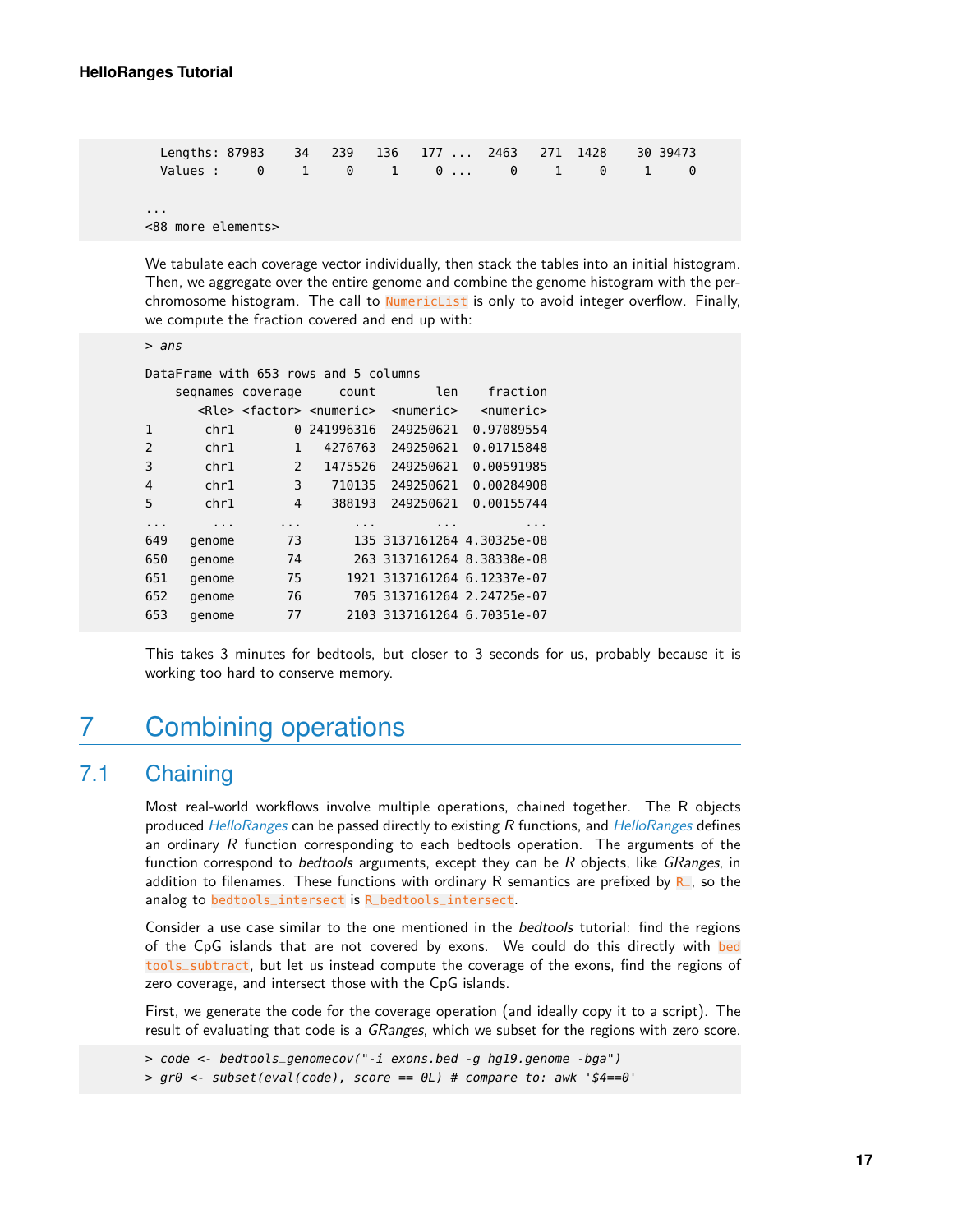| Lengths: 87983 34 239 136 177  2463 271 1428 |  |  |  |  | 30 39473 |  |
|----------------------------------------------|--|--|--|--|----------|--|
| Values: 0 1 0 1 0 0 1 0 1                    |  |  |  |  |          |  |
|                                              |  |  |  |  |          |  |
| $\cdots$                                     |  |  |  |  |          |  |
| <88 more elements>                           |  |  |  |  |          |  |

We tabulate each coverage vector individually, then stack the tables into an initial histogram. Then, we aggregate over the entire genome and combine the genome histogram with the perchromosome histogram. The call to NumericList is only to avoid integer overflow. Finally, we compute the fraction covered and end up with:

```
> ans
```

|                |          |                   | DataFrame with 653 rows and 5 columns             |                             |                 |
|----------------|----------|-------------------|---------------------------------------------------|-----------------------------|-----------------|
|                |          | segnames coverage | count                                             | len                         | fraction        |
|                |          |                   | <rle> <factor> <numeric></numeric></factor></rle> | $<$ numeric $>$             | $<$ numeric $>$ |
| 1              | chr1     | 0                 | 241996316                                         | 249250621                   | 0.97089554      |
| $\overline{2}$ | chr1     | 1                 | 4276763                                           | 249250621                   | 0.01715848      |
| 3              | chr1     | 2                 | 1475526                                           | 249250621                   | 0.00591985      |
| 4              | chr1     | 3                 | 710135                                            | 249250621                   | 0.00284908      |
| 5              | chr1     | 4                 | 388193                                            | 249250621                   | 0.00155744      |
|                | $\cdots$ |                   | .                                                 | .                           | .               |
| 649            | genome   | 73                |                                                   | 135 3137161264 4.30325e-08  |                 |
| 650            | genome   | 74                |                                                   | 263 3137161264 8.38338e-08  |                 |
| 651            | genome   | 75                |                                                   | 1921 3137161264 6.12337e-07 |                 |
| 652            | genome   | 76                |                                                   | 705 3137161264 2.24725e-07  |                 |
| 653            | genome   | 77                |                                                   | 2103 3137161264 6.70351e-07 |                 |
|                |          |                   |                                                   |                             |                 |

<span id="page-16-0"></span>This takes 3 minutes for bedtools, but closer to 3 seconds for us, probably because it is working too hard to conserve memory.

## 7 Combining operations

## 7.1 Chaining

<span id="page-16-1"></span>Most real-world workflows involve multiple operations, chained together. The R objects produced [HelloRanges](http://bioconductor.org/packages/HelloRanges) can be passed directly to existing R functions, and HelloRanges defines an ordinary  $R$  function corresponding to each bedtools operation. The arguments of the function correspond to *bedtools* arguments, except they can be R objects, like GRanges, in addition to filenames. These functions with ordinary R semantics are prefixed by  $R$ , so the analog to bedtools\_intersect is R\_bedtools\_intersect.

Consider a use case similar to the one mentioned in the *bedtools* tutorial: find the regions of the CpG islands that are not covered by exons. We could do this directly with bed tools\_subtract, but let us instead compute the coverage of the exons, find the regions of zero coverage, and intersect those with the CpG islands.

First, we generate the code for the coverage operation (and ideally copy it to a script). The result of evaluating that code is a *GRanges*, which we subset for the regions with zero score.

```
> code <- bedtools_genomecov("-i exons.bed -g hg19.genome -bga")
> gr\theta <- subset(eval(code), score == \thetaL) # compare to: awk '$4==\theta'
```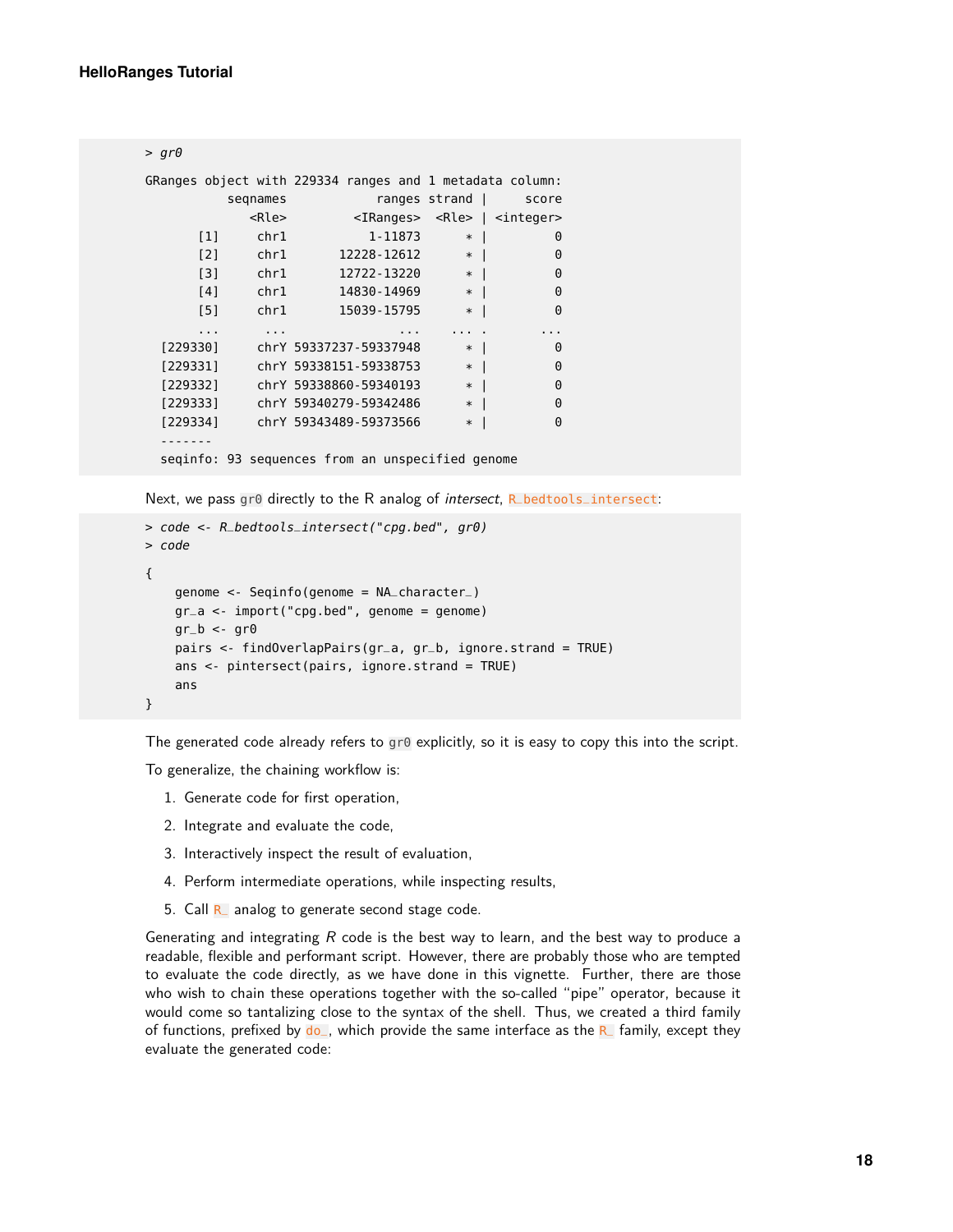```
> gr\thetaGRanges object with 229334 ranges and 1 metadata column:
        seqnames ranges strand | score
          <Rle> <IRanges> <Rle> | <integer>
     [1] chr1 1-11873 * | 0
     [2] chr1 12228-12612 * | 0<br>
[3] chr1 12722-13220 * | 0
     [3] chr1 12722-13220 *
     [4] chr1 14830-14969 * | 0
     [5] chr1 15039-15795 * | 0
     ... ... ... ... . ...
 [229330] chrY 59337237-59337948 * | 0
 [229331] chrY 59338151-59338753 * | 0
 [229332] chrY 59338860-59340193 * | 0
 [229333] chrY 59340279-59342486 * | 0
 [229334] chrY 59343489-59373566 * | 0
 -------
 seqinfo: 93 sequences from an unspecified genome
```
Next, we pass gr0 directly to the R analog of *intersect*, R bedtools intersect:

```
> code <- R_bedtools_intersect("cpg.bed", gr0)
> code
{
    genome <- Seqinfo(genome = NA_character_)
    gr_a <- import("cpg.bed", genome = genome)
    qr_b < -qr0pairs <- findOverlapPairs(gr_a, gr_b, ignore.strand = TRUE)
    ans <- pintersect(pairs, ignore.strand = TRUE)
    ans
}
```
The generated code already refers to  $g \circ \theta$  explicitly, so it is easy to copy this into the script.

To generalize, the chaining workflow is:

- 1. Generate code for first operation,
- 2. Integrate and evaluate the code,
- 3. Interactively inspect the result of evaluation,
- 4. Perform intermediate operations, while inspecting results,
- 5. Call  $R_$  analog to generate second stage code.

Generating and integrating  $R$  code is the best way to learn, and the best way to produce a readable, flexible and performant script. However, there are probably those who are tempted to evaluate the code directly, as we have done in this vignette. Further, there are those who wish to chain these operations together with the so-called "pipe" operator, because it would come so tantalizing close to the syntax of the shell. Thus, we created a third family of functions, prefixed by  $\phi$ , which provide the same interface as the R<sub>c</sub> family, except they evaluate the generated code: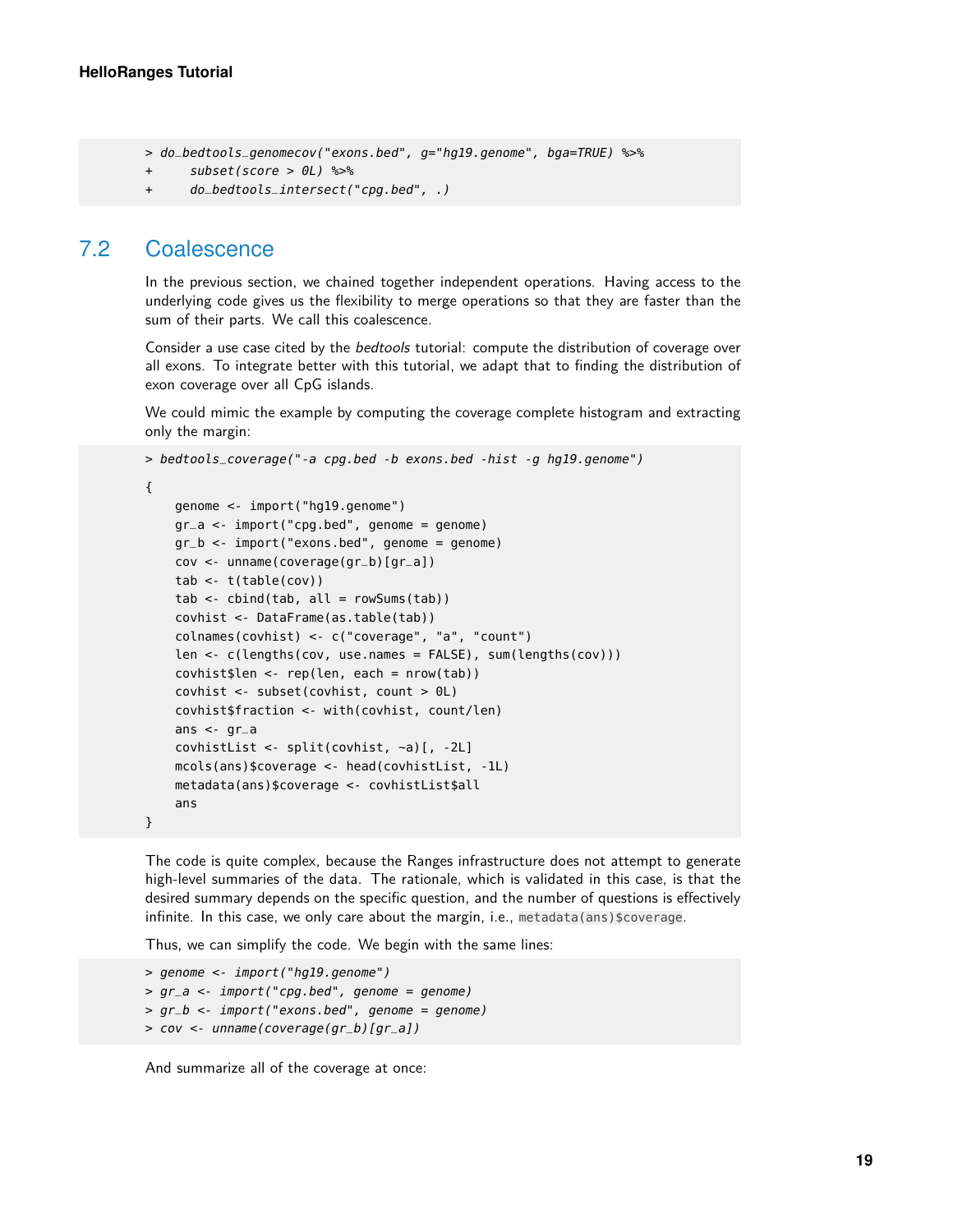> do\_bedtools\_genomecov("exons.bed", g="hg19.genome", bga=TRUE) %>%

```
+ subset(score > 0L) %>%
```

```
+ do_bedtools_intersect("cpg.bed", .)
```
#### 7.2 Coalescence

}

In the previous section, we chained together independent operations. Having access to the underlying code gives us the flexibility to merge operations so that they are faster than the sum of their parts. We call this coalescence.

Consider a use case cited by the *bedtools* tutorial: compute the distribution of coverage over all exons. To integrate better with this tutorial, we adapt that to finding the distribution of exon coverage over all CpG islands.

We could mimic the example by computing the coverage complete histogram and extracting only the margin:

```
> bedtools_coverage("-a cpg.bed -b exons.bed -hist -g hg19.genome")
{
    genome <- import("hg19.genome")
```

```
gr_a < -import("cpg.bed", genome = genome)gr_b <- import("exons.bed", genome = genome)
cov <- unname(coverage(gr_b)[gr_a])
tab <- t(table(cov))
tab < -</math> <math>chind(tab, alt = rowSums(tab))</math>covhist <- DataFrame(as.table(tab))
colnames(covhist) <- c("coverage", "a", "count")
len <- c(lengths(cov, use.names = FALSE), sum(lengths(cov)))
covhist$len <- rep(len, each = nrow(tab))
covhist <- subset(covhist, count > 0L)
covhist$fraction <- with(covhist, count/len)
ans \lt- gr_a
covhistList <- split(covhist, ~a)[, -2L]
mcols(ans)$coverage <- head(covhistList, -1L)
metadata(ans)$coverage <- covhistList$all
ans
```
The code is quite complex, because the Ranges infrastructure does not attempt to generate high-level summaries of the data. The rationale, which is validated in this case, is that the desired summary depends on the specific question, and the number of questions is effectively infinite. In this case, we only care about the margin, i.e., metadata(ans)\$coverage.

Thus, we can simplify the code. We begin with the same lines:

```
> genome <- import("hg19.genome")
> gr_a <- import("cpg.bed", genome = genome)
> gr_b <- import("exons.bed", genome = genome)
> cov <- unname(coverage(gr_b)[gr_a])
```
And summarize all of the coverage at once: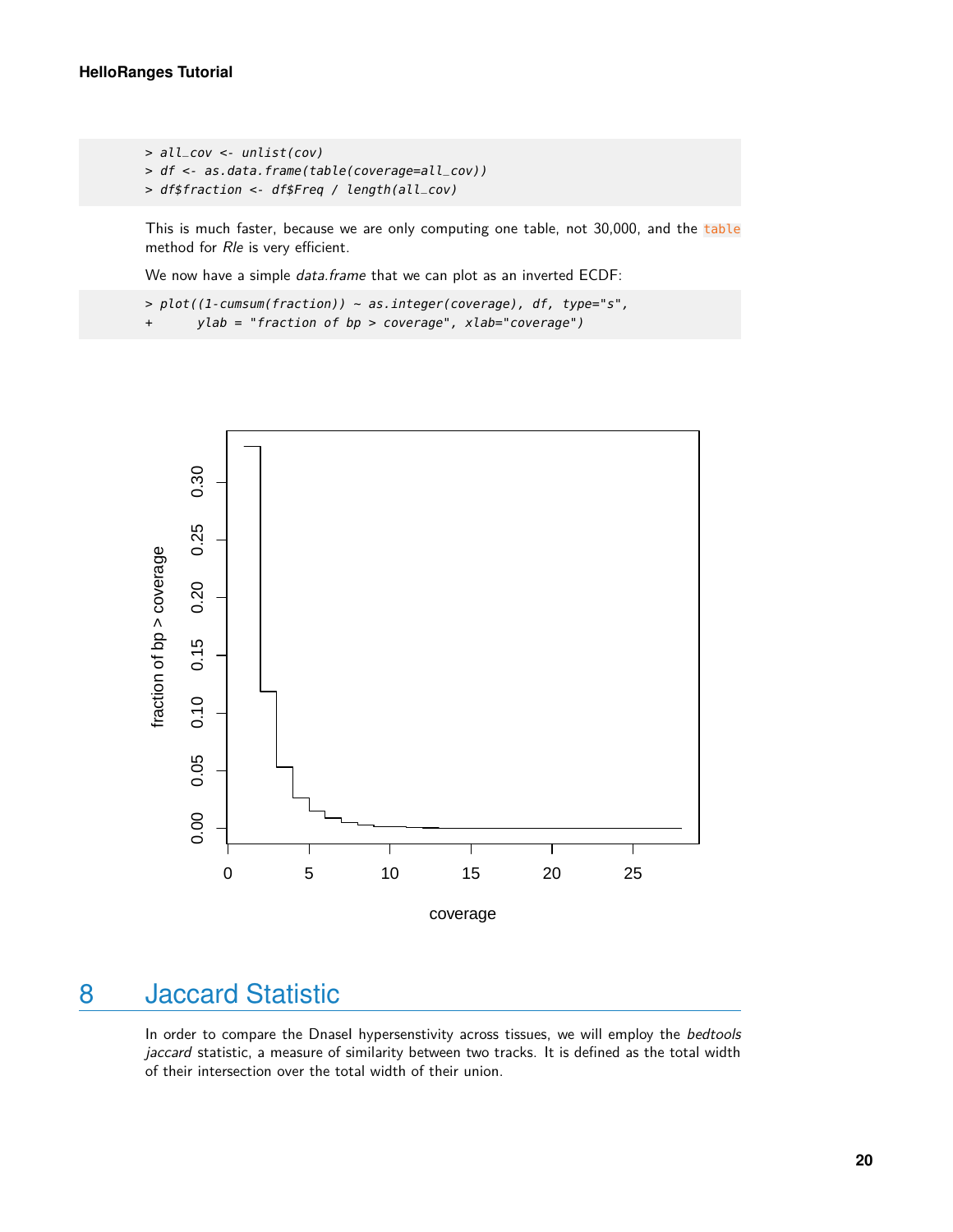```
> all_cov <- unlist(cov)
> df <- as.data.frame(table(coverage=all_cov))
> df$fraction <- df$Freq / length(all_cov)
```
This is much faster, because we are only computing one table, not 30,000, and the table method for Rle is very efficient.

We now have a simple *data.frame* that we can plot as an inverted ECDF:

```
> plot((1-cumsum(fraction)) ~ as.integer(coverage), df, type="s",
+ ylab = "fraction of bp > coverage", xlab="coverage")
```


## <span id="page-19-0"></span>8 Jaccard Statistic

In order to compare the DnaseI hypersenstivity across tissues, we will employ the bedtools jaccard statistic, a measure of similarity between two tracks. It is defined as the total width of their intersection over the total width of their union.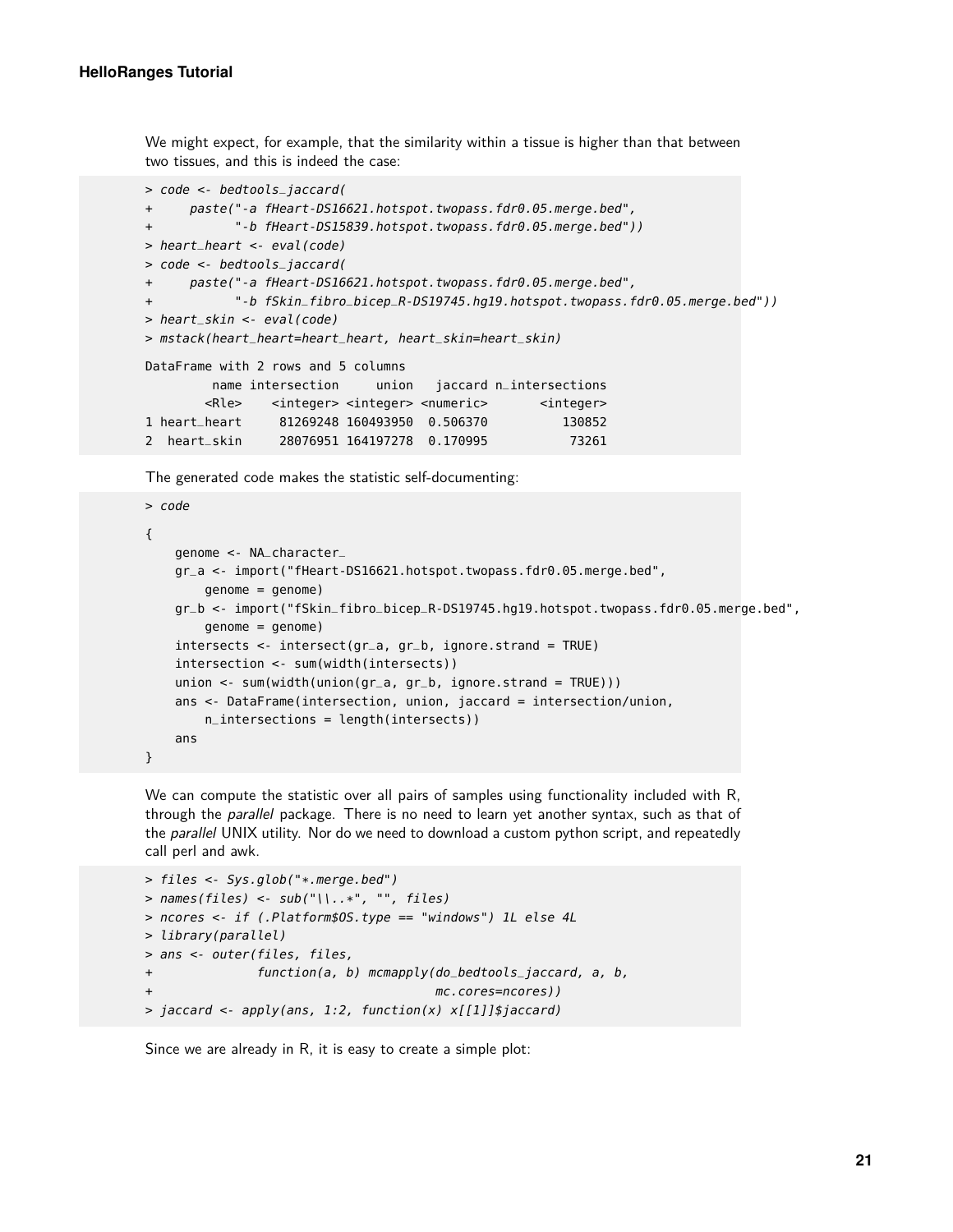We might expect, for example, that the similarity within a tissue is higher than that between two tissues, and this is indeed the case:

```
> code <- bedtools_jaccard(
+ paste("-a fHeart-DS16621.hotspot.twopass.fdr0.05.merge.bed",
+ "-b fHeart-DS15839.hotspot.twopass.fdr0.05.merge.bed"))
> heart_heart <- eval(code)
> code <- bedtools_jaccard(
+ paste("-a fHeart-DS16621.hotspot.twopass.fdr0.05.merge.bed",
+ "-b fSkin_fibro_bicep_R-DS19745.hg19.hotspot.twopass.fdr0.05.merge.bed"))
> heart_skin <- eval(code)
> mstack(heart_heart=heart_heart, heart_skin=heart_skin)
DataFrame with 2 rows and 5 columns
        name intersection union jaccard n_intersections
       <Rle> <integer> <integer> <numeric> <integer>
1 heart_heart 81269248 160493950 0.506370 130852
2 heart_skin 28076951 164197278 0.170995 73261
```
The generated code makes the statistic self-documenting:

```
> code
{
    genome <- NA_character_
    gr_a <- import("fHeart-DS16621.hotspot.twopass.fdr0.05.merge.bed",
        genome = genome)
    gr_b <- import("fSkin_fibro_bicep_R-DS19745.hg19.hotspot.twopass.fdr0.05.merge.bed",
        genome = genome)
    intersects <- intersect(gr_a, gr_b, ignore.strand = TRUE)
    intersection <- sum(width(intersects))
    union <- sum(width(union(gr_a, gr_b, ignore.strand = TRUE)))
    ans <- DataFrame(intersection, union, jaccard = intersection/union,
        n_intersections = length(intersects))
    ans
}
```
We can compute the statistic over all pairs of samples using functionality included with R, through the parallel package. There is no need to learn yet another syntax, such as that of the *parallel* UNIX utility. Nor do we need to download a custom python script, and repeatedly call perl and awk.

```
> files <- Sys.glob("*.merge.bed")
> names(files) <- sub("\\..*", "", files)
> ncores <- if (.Platform$OS.type == "windows") 1L else 4L
> library(parallel)
> ans <- outer(files, files,
+ function(a, b) mcmapply(do_bedtools_jaccard, a, b,
                                      mc.cores=ncores))
> jaccard <- apply(ans, 1:2, function(x) x[[1]]$jaccard)
```
Since we are already in R, it is easy to create a simple plot: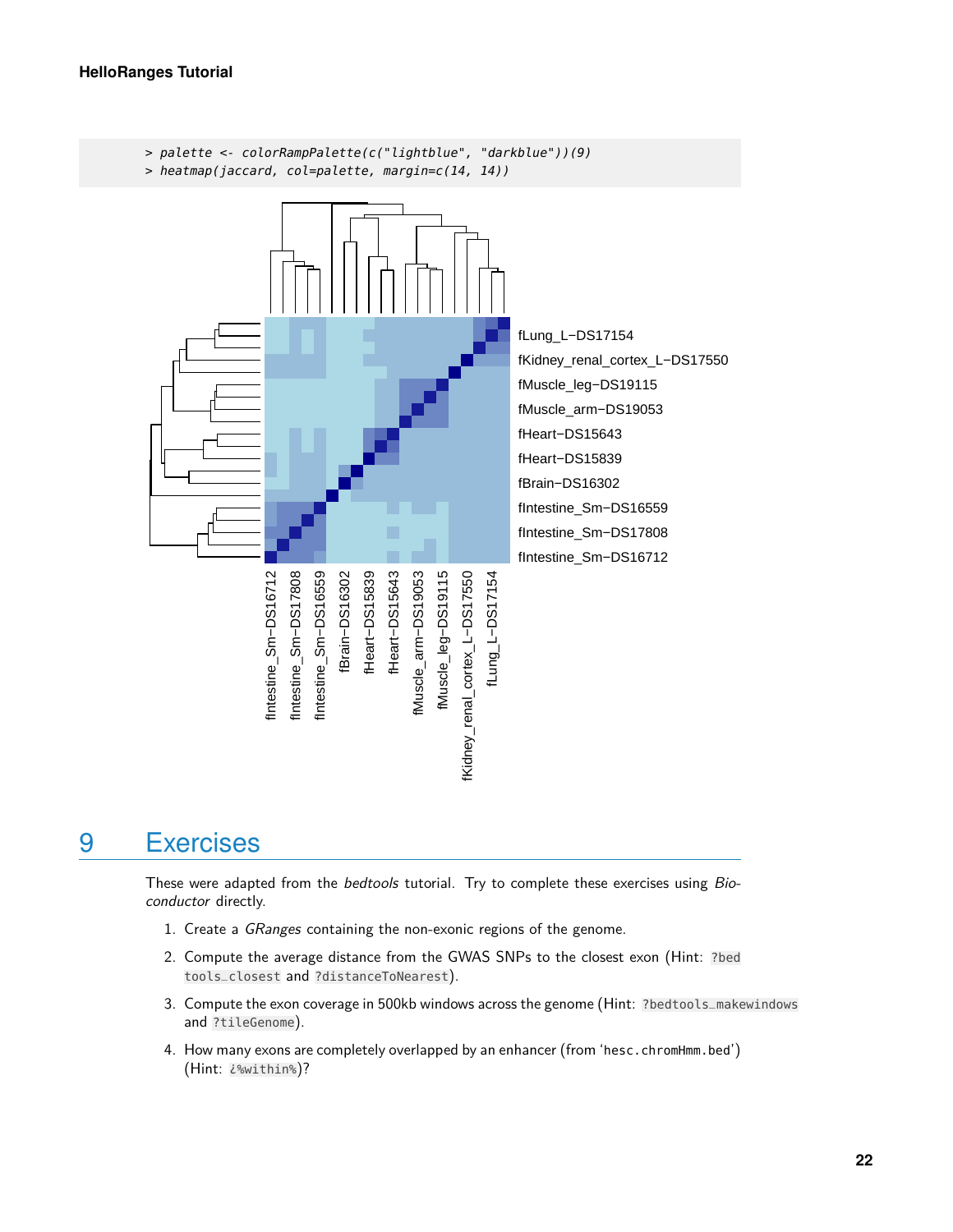

## <span id="page-21-0"></span>9 Exercises

These were adapted from the *bedtools* tutorial. Try to complete these exercises using Bioconductor directly.

- 1. Create a GRanges containing the non-exonic regions of the genome.
- 2. Compute the average distance from the GWAS SNPs to the closest exon (Hint: ?bed tools\_closest and ?distanceToNearest).
- 3. Compute the exon coverage in 500kb windows across the genome (Hint: ?bedtools\_makewindows and ?tileGenome).
- 4. How many exons are completely overlapped by an enhancer (from 'hesc.chromHmm.bed') (Hint: ¿%within%)?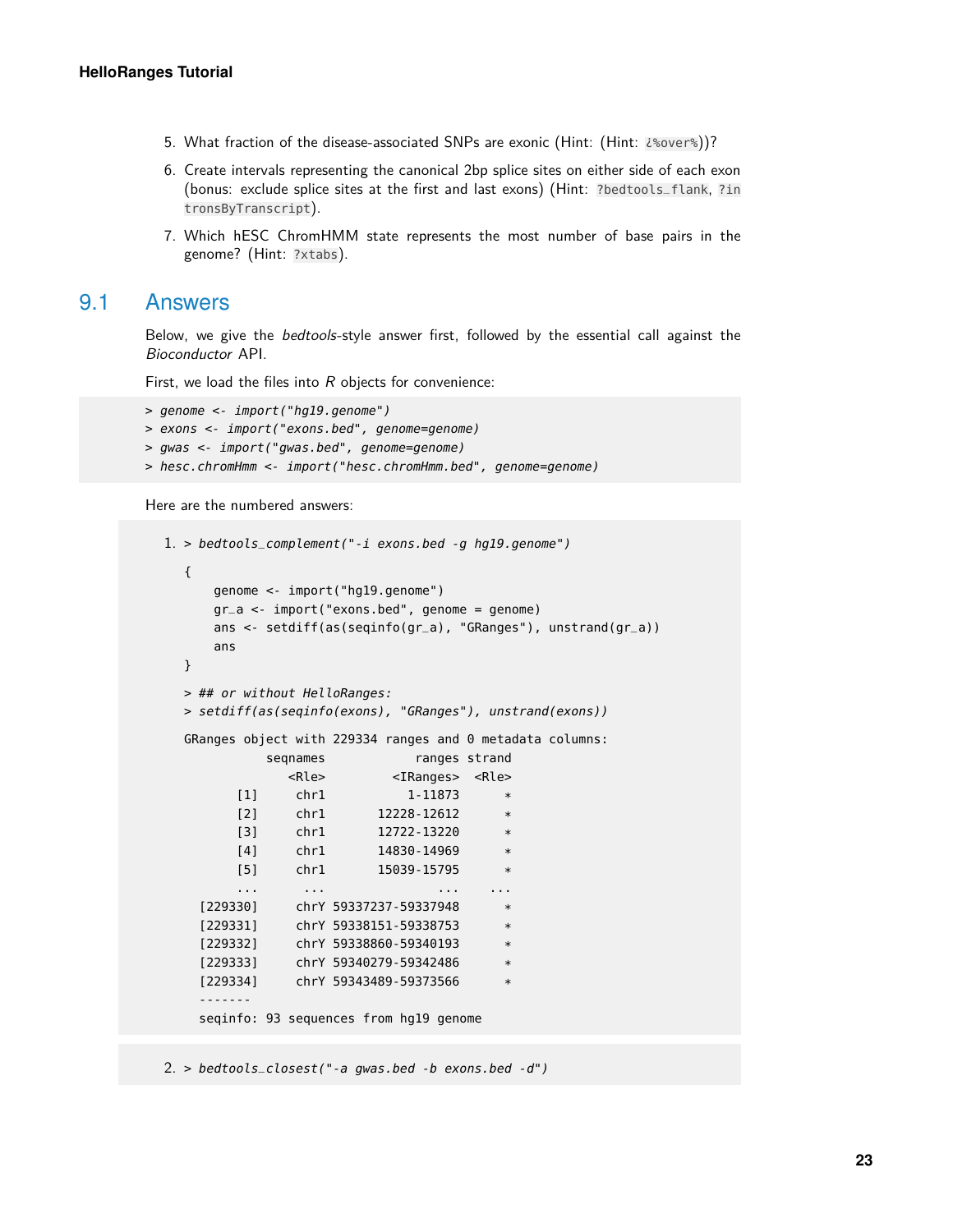- 5. What fraction of the disease-associated SNPs are exonic (Hint: (Hint: ¿%over%))?
- 6. Create intervals representing the canonical 2bp splice sites on either side of each exon (bonus: exclude splice sites at the first and last exons) (Hint: ?bedtools\_flank, ?in tronsByTranscript).
- <span id="page-22-0"></span>7. Which hESC ChromHMM state represents the most number of base pairs in the genome? (Hint: ?xtabs).

#### 9.1 Answers

Below, we give the bedtools-style answer first, followed by the essential call against the Bioconductor API.

First, we load the files into  $R$  objects for convenience:

```
> genome <- import("hg19.genome")
> exons <- import("exons.bed", genome=genome)
> gwas <- import("gwas.bed", genome=genome)
> hesc.chromHmm <- import("hesc.chromHmm.bed", genome=genome)
```
Here are the numbered answers:

```
1. > bedtools_complement("-i exons.bed -g hg19.genome")
  {
     genome <- import("hg19.genome")
     gr_a <- import("exons.bed", genome = genome)
     ans <- setdiff(as(seqinfo(gr_a), "GRanges"), unstrand(gr_a))
     ans
  }
  > ## or without HelloRanges:
  > setdiff(as(seqinfo(exons), "GRanges"), unstrand(exons))
  GRanges object with 229334 ranges and 0 metadata columns:
           seqnames ranges strand
             <Rle> <IRanges> <Rle>
        [1] chr1 1-11873 *
        [2] chr1 12228-12612 *
        [3] chr1 12722-13220 *
        [4] chr1 14830-14969
        [5] chr1 15039-15795 *
        ... ... ... ...
    [229330] chrY 59337237-59337948 *
   [229331] chrY 59338151-59338753 *
    [229332] chrY 59338860-59340193
   [229333] chrY 59340279-59342486 *
   [229334] chrY 59343489-59373566
    -------
    seqinfo: 93 sequences from hg19 genome
```
2. > bedtools\_closest("-a gwas.bed -b exons.bed -d")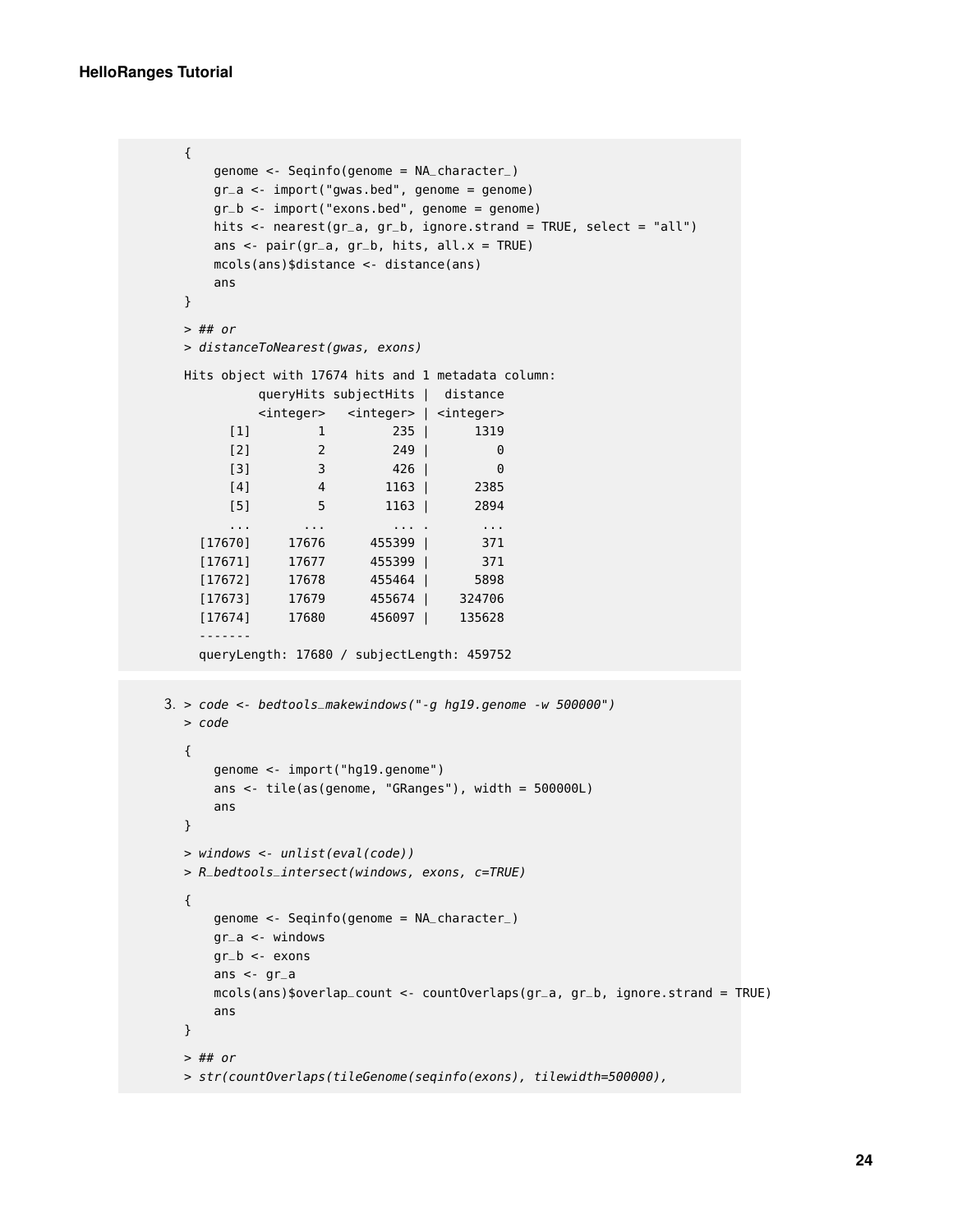```
{
     genome <- Seqinfo(genome = NA_character_)
     gr_a <- import("gwas.bed", genome = genome)
     gr_b < -import("exons.bed", genome = genome)hits <- nearest(gr_a, gr_b, ignore.strand = TRUE, select = "all")
     ans \leq- pair(gr_a, gr_b, hits, all.x = TRUE)
     mcols(ans)$distance <- distance(ans)
     ans
  }
  > ## or
  > distanceToNearest(gwas, exons)
  Hits object with 17674 hits and 1 metadata column:
           queryHits subjectHits | distance
           <integer> <integer> | <integer>
       [1] 1 235 | 1319
       [2] 2 249 | 0[3] 3 426 | 0
       [4] 4 1163 | 2385
       [5] 5 1163 | 2894
       ... ... ... . ...
    [17670] 17676 455399 | 371
    [17671] 17677 455399 | 371
    [17672] 17678 455464 | 5898
    [17673] 17679 455674 | 324706
    [17674] 17680 456097 | 135628
    -------
    queryLength: 17680 / subjectLength: 459752
3. > code <- bedtools_makewindows("-g hg19.genome -w 500000")
  > code
  {
     genome <- import("hg19.genome")
     ans <- tile(as(genome, "GRanges"), width = 500000L)
     ans
  }
  > windows <- unlist(eval(code))
  > R_bedtools_intersect(windows, exons, c=TRUE)
  {
     genome <- Seqinfo(genome = NA_character_)
     gr_a <- windows
     gr_b <- exons
     ans \lt- gr_a
     mcols(ans)$overlap_count <- countOverlaps(gr_a, gr_b, ignore.strand = TRUE)
     ans
  }
  > ## or
  > str(countOverlaps(tileGenome(seqinfo(exons), tilewidth=500000),
```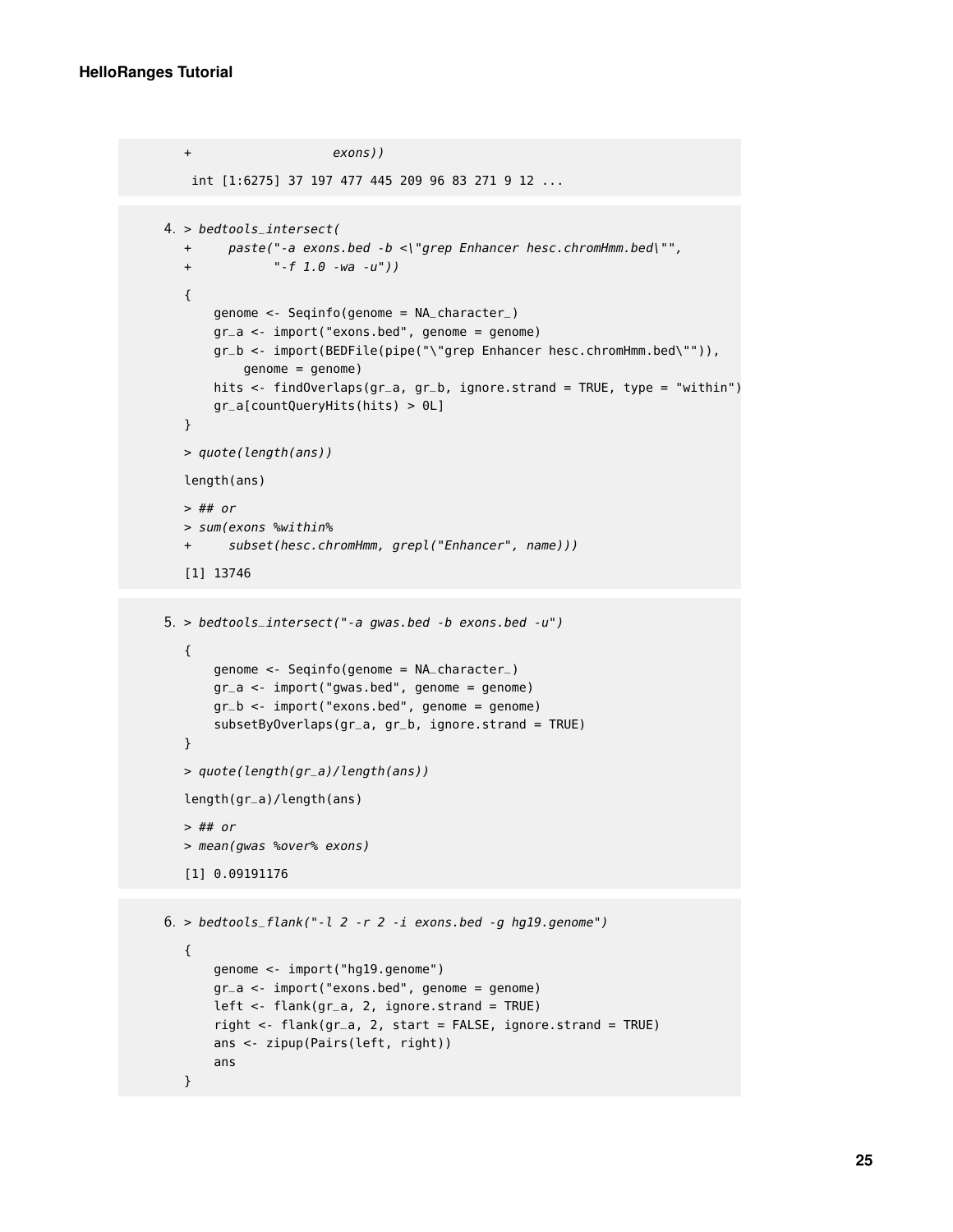ans

}

```
+ exons))
   int [1:6275] 37 197 477 445 209 96 83 271 9 12 ...
4. > bedtools_intersect(
  + paste("-a exons.bed -b <\"grep Enhancer hesc.chromHmm.bed\"",
  + "-f 1.0 -wa -u"))
  {
      genome <- Seqinfo(genome = NA_character_)
      gr_a <- import("exons.bed", genome = genome)
      gr_b <- import(BEDFile(pipe("\"grep Enhancer hesc.chromHmm.bed\"")),
          genome = genome)
      hits <- findOverlaps(gr_a, gr_b, ignore.strand = TRUE, type = "within")
      gr_a[countQueryHits(hits) > 0L]
  }
  > quote(length(ans))
  length(ans)
  > ## or
  > sum(exons %within%
  + subset(hesc.chromHmm, grepl("Enhancer", name)))
  [1] 13746
5. > bedtools_intersect("-a gwas.bed -b exons.bed -u")
  {
      genome <- Seqinfo(genome = NA_character_)
      gr_a <- import("gwas.bed", genome = genome)
      gr_b <- import("exons.bed", genome = genome)
      subsetByOverlaps(gr_a, gr_b, ignore.strand = TRUE)}
  > quote(length(gr_a)/length(ans))
  length(gr_a)/length(ans)
  > ## or
  > mean(gwas %over% exons)
  [1] 0.09191176
6. > bedtools_flank("-l 2 -r 2 -i exons.bed -g hg19.genome")
  {
      genome <- import("hg19.genome")
      gr_a <- import("exons.bed", genome = genome)
      left \leq flank(gr_a, 2, ignore.strand = TRUE)
      right <- flank(gr_a, 2, start = FALSE, ignore.strand = TRUE)
      ans <- zipup(Pairs(left, right))
```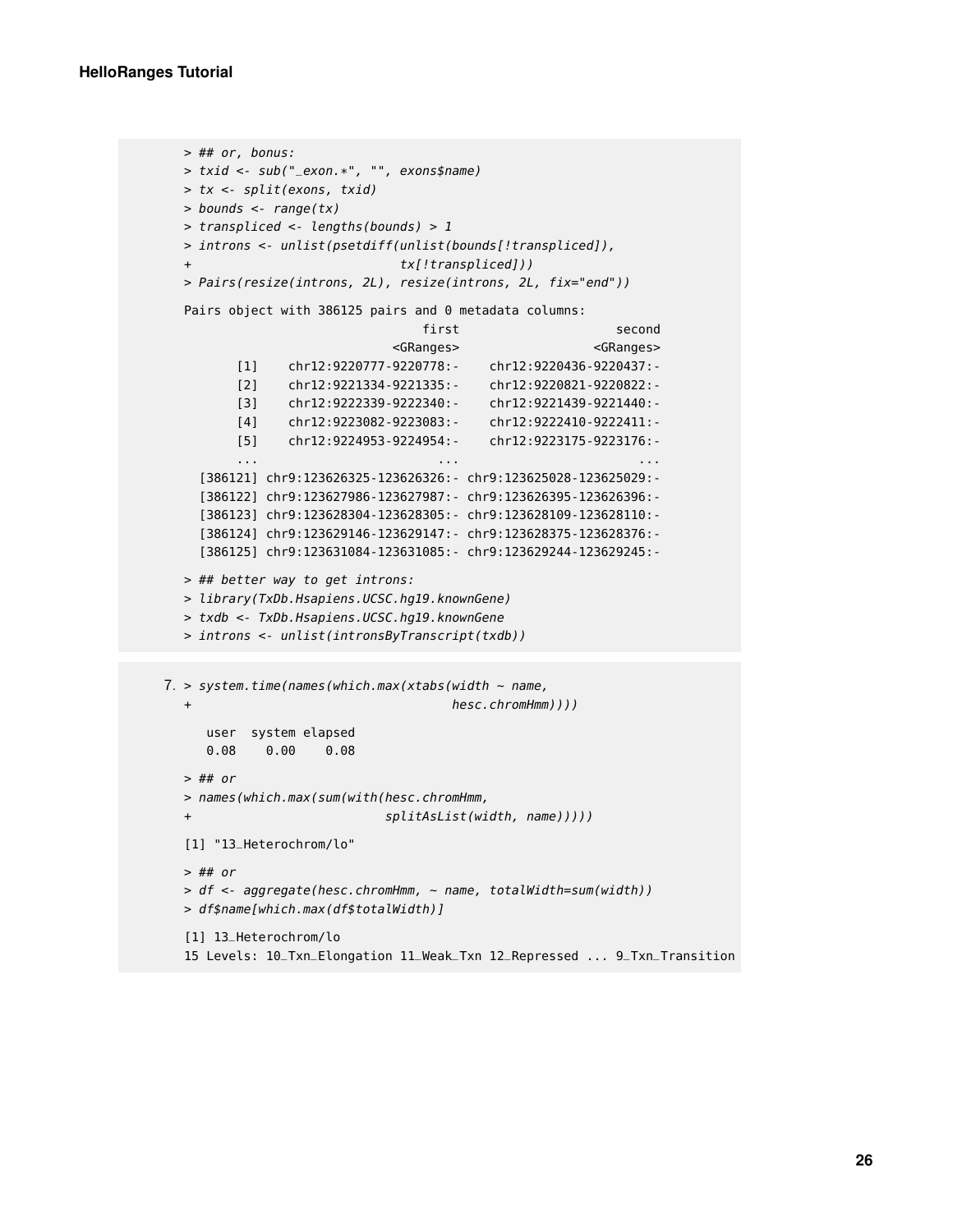```
> ## or, bonus:
  > txid <- sub("_exon.*", "", exons$name)
  > tx <- split(exons, txid)
  > bounds <- range(tx)
  > transpliced <- lengths(bounds) > 1
  > introns <- unlist(psetdiff(unlist(bounds[!transpliced]),
  + tx[!transpliced]))
  > Pairs(resize(introns, 2L), resize(introns, 2L, fix="end"))
  Pairs object with 386125 pairs and 0 metadata columns:
                               first second
                            <GRanges> <GRanges>
        [1] chr12:9220777-9220778:- chr12:9220436-9220437:-
         [2] chr12:9221334-9221335:- chr12:9220821-9220822:-
         [3] chr12:9222339-9222340:- chr12:9221439-9221440:-
         [4] chr12:9223082-9223083:- chr12:9222410-9222411:-
        [5] chr12:9224953-9224954:- chr12:9223175-9223176:-
         ... ... ...
    [386121] chr9:123626325-123626326:- chr9:123625028-123625029:-
    [386122] chr9:123627986-123627987:- chr9:123626395-123626396:-
    [386123] chr9:123628304-123628305:- chr9:123628109-123628110:-
    [386124] chr9:123629146-123629147:- chr9:123628375-123628376:-
    [386125] chr9:123631084-123631085:- chr9:123629244-123629245:-
  > ## better way to get introns:
  > library(TxDb.Hsapiens.UCSC.hg19.knownGene)
  > txdb <- TxDb.Hsapiens.UCSC.hg19.knownGene
  > introns <- unlist(intronsByTranscript(txdb))
7. > system.time(names(which.max(xtabs(width ~ name,
                                   hesc.chromHmm))))
     user system elapsed
     0.08 0.00 0.08
  > ## or
  > names(which.max(sum(with(hesc.chromHmm,
  + splitAsList(width, name)))))
  [1] "13_Heterochrom/lo"
  > ## or
  > df <- aggregate(hesc.chromHmm, ~ name, totalWidth=sum(width))
  > df$name[which.max(df$totalWidth)]
  [1] 13_Heterochrom/lo
  15 Levels: 10_Txn_Elongation 11_Weak_Txn 12_Repressed ... 9_Txn_Transition
```